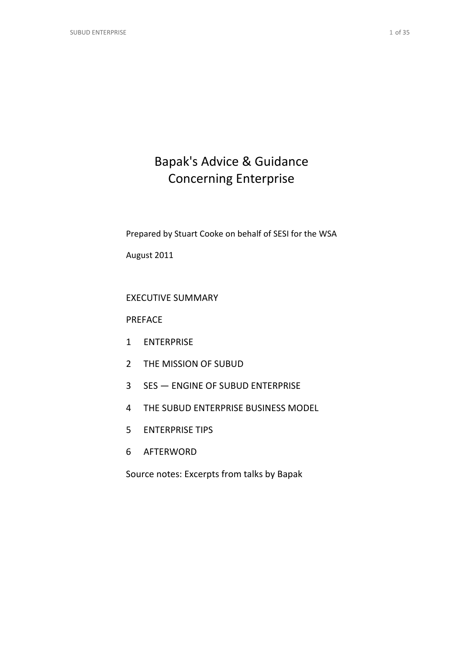# Bapak's Advice & Guidance Concerning Enterprise

Prepared by Stuart Cooke on behalf of SESI for the WSA

August 2011

# EXECUTIVE SUMMARY

## PREFACE

- 1 ENTERPRISE
- 2 THE MISSION OF SUBUD
- 3 SES ENGINE OF SUBUD ENTERPRISE
- 4 THE SUBUD ENTERPRISE BUSINESS MODEL
- 5 ENTERPRISE TIPS
- 6 AFTERWORD

Source notes: Excerpts from talks by Bapak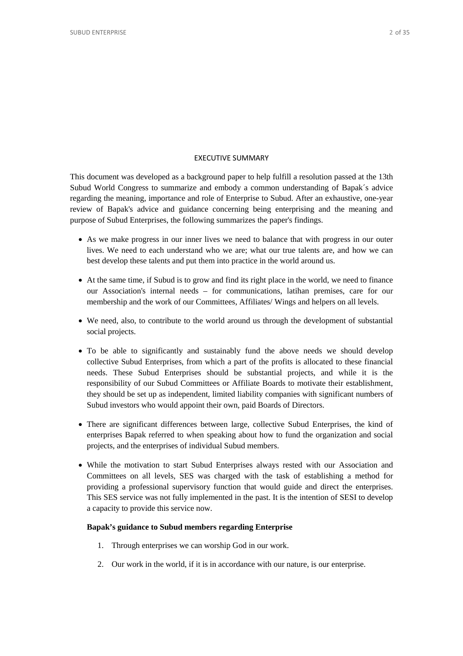## EXECUTIVE SUMMARY

This document was developed as a background paper to help fulfill a resolution passed at the 13th Subud World Congress to summarize and embody a common understanding of Bapak´s advice regarding the meaning, importance and role of Enterprise to Subud. After an exhaustive, one-year review of Bapak's advice and guidance concerning being enterprising and the meaning and purpose of Subud Enterprises, the following summarizes the paper's findings.

- As we make progress in our inner lives we need to balance that with progress in our outer lives. We need to each understand who we are; what our true talents are, and how we can best develop these talents and put them into practice in the world around us.
- At the same time, if Subud is to grow and find its right place in the world, we need to finance our Association's internal needs – for communications, latihan premises, care for our membership and the work of our Committees, Affiliates/ Wings and helpers on all levels.
- We need, also, to contribute to the world around us through the development of substantial social projects.
- To be able to significantly and sustainably fund the above needs we should develop collective Subud Enterprises, from which a part of the profits is allocated to these financial needs. These Subud Enterprises should be substantial projects, and while it is the responsibility of our Subud Committees or Affiliate Boards to motivate their establishment, they should be set up as independent, limited liability companies with significant numbers of Subud investors who would appoint their own, paid Boards of Directors.
- There are significant differences between large, collective Subud Enterprises, the kind of enterprises Bapak referred to when speaking about how to fund the organization and social projects, and the enterprises of individual Subud members.
- While the motivation to start Subud Enterprises always rested with our Association and Committees on all levels, SES was charged with the task of establishing a method for providing a professional supervisory function that would guide and direct the enterprises. This SES service was not fully implemented in the past. It is the intention of SESI to develop a capacity to provide this service now.

## **Bapak's guidance to Subud members regarding Enterprise**

- 1. Through enterprises we can worship God in our work.
- 2. Our work in the world, if it is in accordance with our nature, is our enterprise.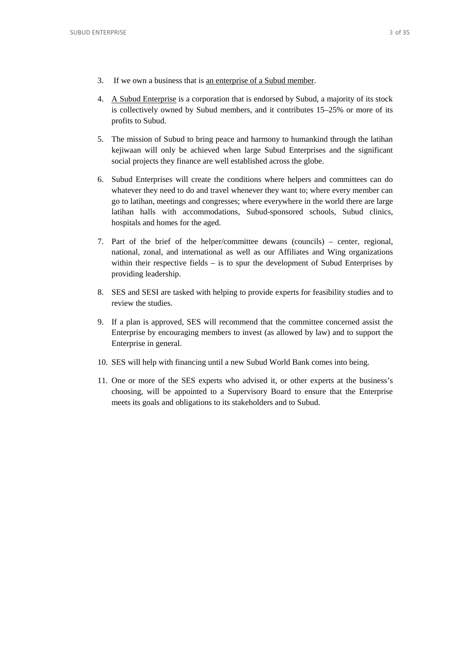- 3. If we own a business that is <u>an enterprise of a Subud member</u>.
- 4. A Subud Enterprise is a corporation that is endorsed by Subud, a majority of its stock is collectively owned by Subud members, and it contributes 15–25% or more of its profits to Subud.
- 5. The mission of Subud to bring peace and harmony to humankind through the latihan kejiwaan will only be achieved when large Subud Enterprises and the significant social projects they finance are well established across the globe.
- 6. Subud Enterprises will create the conditions where helpers and committees can do whatever they need to do and travel whenever they want to; where every member can go to latihan, meetings and congresses; where everywhere in the world there are large latihan halls with accommodations, Subud-sponsored schools, Subud clinics, hospitals and homes for the aged.
- 7. Part of the brief of the helper/committee dewans (councils) center, regional, national, zonal, and international as well as our Affiliates and Wing organizations within their respective fields – is to spur the development of Subud Enterprises by providing leadership.
- 8. SES and SESI are tasked with helping to provide experts for feasibility studies and to review the studies.
- 9. If a plan is approved, SES will recommend that the committee concerned assist the Enterprise by encouraging members to invest (as allowed by law) and to support the Enterprise in general.
- 10. SES will help with financing until a new Subud World Bank comes into being.
- 11. One or more of the SES experts who advised it, or other experts at the business's choosing, will be appointed to a Supervisory Board to ensure that the Enterprise meets its goals and obligations to its stakeholders and to Subud.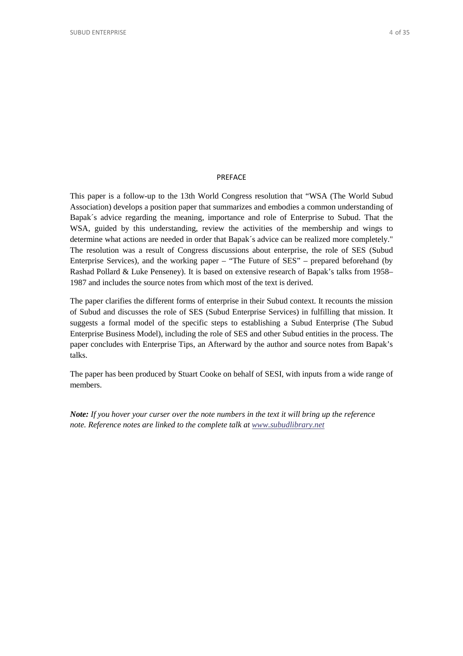## PREFACE

This paper is a follow-up to the 13th World Congress resolution that "WSA (The World Subud Association) develops a position paper that summarizes and embodies a common understanding of Bapak´s advice regarding the meaning, importance and role of Enterprise to Subud. That the WSA, guided by this understanding, review the activities of the membership and wings to determine what actions are needed in order that Bapak´s advice can be realized more completely." The resolution was a result of Congress discussions about enterprise, the role of SES (Subud Enterprise Services), and the working paper – "The Future of SES" – prepared beforehand (by Rashad Pollard & Luke Penseney). It is based on extensive research of Bapak's talks from 1958– 1987 and includes the source notes from which most of the text is derived.

The paper clarifies the different forms of enterprise in their Subud context. It recounts the mission of Subud and discusses the role of SES (Subud Enterprise Services) in fulfilling that mission. It suggests a formal model of the specific steps to establishing a Subud Enterprise (The Subud Enterprise Business Model), including the role of SES and other Subud entities in the process. The paper concludes with Enterprise Tips, an Afterward by the author and source notes from Bapak's talks.

The paper has been produced by Stuart Cooke on behalf of SESI, with inputs from a wide range of members.

*Note: If you hover your curser over the note numbers in the text it will bring up the reference note. Reference notes are linked to the complete talk a[t www.subudlibrary.net](http://www.subudlibrary.net/)*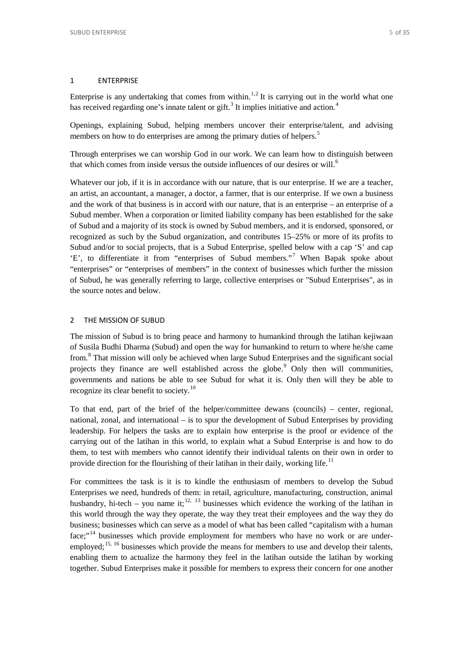## 1 ENTERPRISE

Enterprise is any undertaking that comes from within.<sup>[1](#page-9-0),[2](#page-9-1)</sup> It is carrying out in the world what one has received regarding one's innate talent or gift.<sup>[3](#page-9-2)</sup> It implies initiative and action.<sup>[4](#page-9-3)</sup>

Openings, explaining Subud, helping members uncover their enterprise/talent, and advising members on how to do enterprises are among the primary duties of helpers.<sup>[5](#page-10-0)</sup>

Through enterprises we can worship God in our work. We can learn how to distinguish between that which comes from inside versus the outside influences of our desires or will.<sup>[6](#page-10-1)</sup>

Whatever our job, if it is in accordance with our nature, that is our enterprise. If we are a teacher, an artist, an accountant, a manager, a doctor, a farmer, that is our enterprise. If we own a business and the work of that business is in accord with our nature, that is an enterprise – an enterprise of a Subud member. When a corporation or limited liability company has been established for the sake of Subud and a majority of its stock is owned by Subud members, and it is endorsed, sponsored, or recognized as such by the Subud organization, and contributes 15–25% or more of its profits to Subud and/or to social projects, that is a Subud Enterprise, spelled below with a cap 'S' and cap 'E', to differentiate it from "enterprises of Subud members."[7](#page-10-2) When Bapak spoke about "enterprises" or "enterprises of members" in the context of businesses which further the mission of Subud, he was generally referring to large, collective enterprises or "Subud Enterprises", as in the source notes and below.

## 2 THE MISSION OF SUBUD

The mission of Subud is to bring peace and harmony to humankind through the latihan kejiwaan of Susila Budhi Dharma (Subud) and open the way for humankind to return to where he/she came from.[8](#page-11-0) That mission will only be achieved when large Subud Enterprises and the significant social projects they finance are well established across the globe.<sup>[9](#page-11-1)</sup> Only then will communities, governments and nations be able to see Subud for what it is. Only then will they be able to recognize its clear benefit to society.<sup>[10](#page-12-0)</sup>

To that end, part of the brief of the helper/committee dewans (councils) – center, regional, national, zonal, and international – is to spur the development of Subud Enterprises by providing leadership. For helpers the tasks are to explain how enterprise is the proof or evidence of the carrying out of the latihan in this world, to explain what a Subud Enterprise is and how to do them, to test with members who cannot identify their individual talents on their own in order to provide direction for the flourishing of their latihan in their daily, working life.<sup>[11](#page-12-1)</sup>

For committees the task is it is to kindle the enthusiasm of members to develop the Subud Enterprises we need, hundreds of them: in retail, agriculture, manufacturing, construction, animal husbandry, hi-tech – you name it;<sup>[12](#page-12-2), [13](#page-13-0)</sup> businesses which evidence the working of the latihan in this world through the way they operate, the way they treat their employees and the way they do business; businesses which can serve as a model of what has been called "capitalism with a human face;"<sup>[14](#page-13-1)</sup> businesses which provide employment for members who have no work or are under-employed;<sup>[15,](#page-13-2) [16](#page-13-3)</sup> businesses which provide the means for members to use and develop their talents, enabling them to actualize the harmony they feel in the latihan outside the latihan by working together. Subud Enterprises make it possible for members to express their concern for one another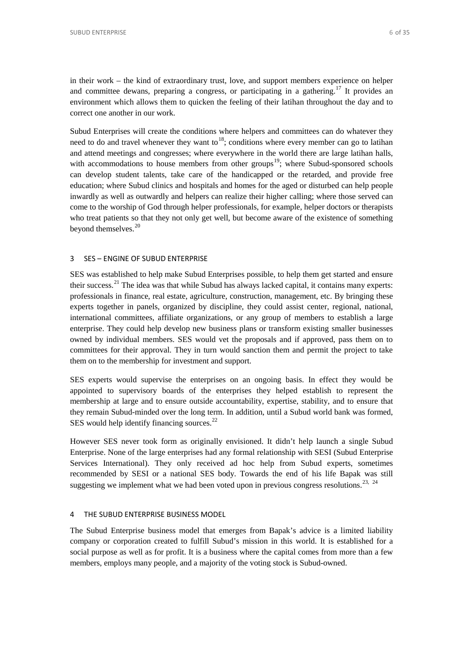in their work – the kind of extraordinary trust, love, and support members experience on helper and committee dewans, preparing a congress, or participating in a gathering.<sup>[17](#page-14-0)</sup> It provides an environment which allows them to quicken the feeling of their latihan throughout the day and to correct one another in our work.

Subud Enterprises will create the conditions where helpers and committees can do whatever they need to do and travel whenever they want to<sup>18</sup>; conditions where every member can go to latihan and attend meetings and congresses; where everywhere in the world there are large latihan halls, with accommodations to house members from other groups<sup>[19](#page-15-1)</sup>; where Subud-sponsored schools can develop student talents, take care of the handicapped or the retarded, and provide free education; where Subud clinics and hospitals and homes for the aged or disturbed can help people inwardly as well as outwardly and helpers can realize their higher calling; where those served can come to the worship of God through helper professionals, for example, helper doctors or therapists who treat patients so that they not only get well, but become aware of the existence of something beyond themselves.<sup>[20](#page-16-0)</sup>

## 3 SES – ENGINE OF SUBUD ENTERPRISE

SES was established to help make Subud Enterprises possible, to help them get started and ensure their success.<sup>[21](#page-16-1)</sup> The idea was that while Subud has always lacked capital, it contains many experts: professionals in finance, real estate, agriculture, construction, management, etc. By bringing these experts together in panels, organized by discipline, they could assist center, regional, national, international committees, affiliate organizations, or any group of members to establish a large enterprise. They could help develop new business plans or transform existing smaller businesses owned by individual members. SES would vet the proposals and if approved, pass them on to committees for their approval. They in turn would sanction them and permit the project to take them on to the membership for investment and support.

SES experts would supervise the enterprises on an ongoing basis. In effect they would be appointed to supervisory boards of the enterprises they helped establish to represent the membership at large and to ensure outside accountability, expertise, stability, and to ensure that they remain Subud-minded over the long term. In addition, until a Subud world bank was formed, SES would help identify financing sources.<sup>[22](#page-17-0)</sup>

However SES never took form as originally envisioned. It didn't help launch a single Subud Enterprise. None of the large enterprises had any formal relationship with SESI (Subud Enterprise Services International). They only received ad hoc help from Subud experts, sometimes recommended by SESI or a national SES body. Towards the end of his life Bapak was still suggesting we implement what we had been voted upon in previous congress resolutions.<sup>[23,](#page-17-1) [24](#page-18-0)</sup>

## 4 THE SUBUD ENTERPRISE BUSINESS MODEL

The Subud Enterprise business model that emerges from Bapak's advice is a limited liability company or corporation created to fulfill Subud's mission in this world. It is established for a social purpose as well as for profit. It is a business where the capital comes from more than a few members, employs many people, and a majority of the voting stock is Subud-owned.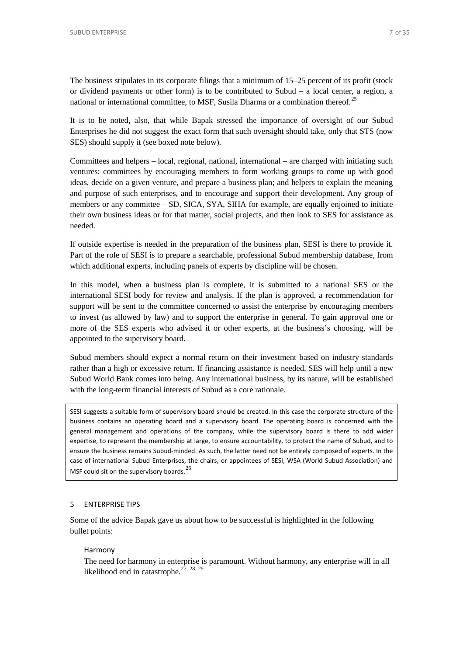The business stipulates in its corporate filings that a minimum of 15–25 percent of its profit (stock or dividend payments or other form) is to be contributed to Subud – a local center, a region, a national or international committee, to MSF, Susila Dharma or a combination thereof.<sup>[25](#page-18-1)</sup>

It is to be noted, also, that while Bapak stressed the importance of oversight of our Subud Enterprises he did not suggest the exact form that such oversight should take, only that STS (now SES) should supply it (see boxed note below).

Committees and helpers – local, regional, national, international – are charged with initiating such ventures: committees by encouraging members to form working groups to come up with good ideas, decide on a given venture, and prepare a business plan; and helpers to explain the meaning and purpose of such enterprises, and to encourage and support their development. Any group of members or any committee – SD, SICA, SYA, SIHA for example, are equally enjoined to initiate their own business ideas or for that matter, social projects, and then look to SES for assistance as needed.

If outside expertise is needed in the preparation of the business plan, SESI is there to provide it. Part of the role of SESI is to prepare a searchable, professional Subud membership database, from which additional experts, including panels of experts by discipline will be chosen.

In this model, when a business plan is complete, it is submitted to a national SES or the international SESI body for review and analysis. If the plan is approved, a recommendation for support will be sent to the committee concerned to assist the enterprise by encouraging members to invest (as allowed by law) and to support the enterprise in general. To gain approval one or more of the SES experts who advised it or other experts, at the business's choosing, will be appointed to the supervisory board.

Subud members should expect a normal return on their investment based on industry standards rather than a high or excessive return. If financing assistance is needed, SES will help until a new Subud World Bank comes into being. Any international business, by its nature, will be established with the long-term financial interests of Subud as a core rationale.

SESI suggests a suitable form of supervisory board should be created. In this case the corporate structure of the business contains an operating board and a supervisory board. The operating board is concerned with the general management and operations of the company, while the supervisory board is there to add wider expertise, to represent the membership at large, to ensure accountability, to protect the name of Subud, and to ensure the business remains Subud-minded. As such, the latter need not be entirely composed of experts. In the case of international Subud Enterprises, the chairs, or appointees of SESI, WSA (World Subud Association) and MSF could sit on the supervisory boards.  $^{26}$  $^{26}$  $^{26}$ 

## 5 ENTERPRISE TIPS

Some of the advice Bapak gave us about how to be successful is highlighted in the following bullet points:

#### Harmony

The need for harmony in enterprise is paramount. Without harmony, any enterprise will in all likelihood end in catastrophe. $27, 28, 29$  $27, 28, 29$  $27, 28, 29$  $27, 28, 29$  $27, 28, 29$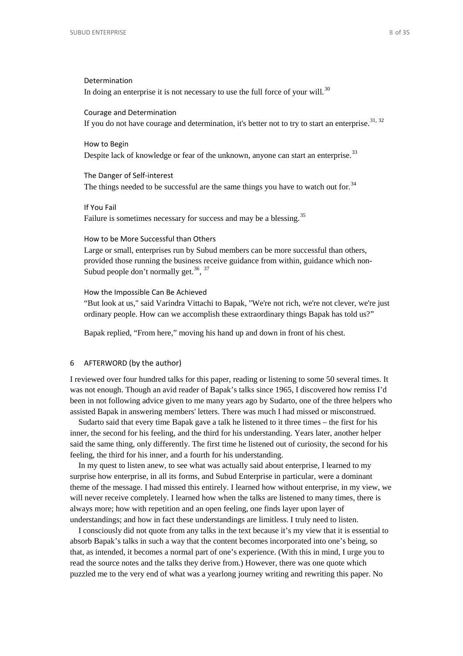## Determination

In doing an enterprise it is not necessary to use the full force of your will. $30$ 

Courage and Determination If you do not have courage and determination, it's better not to try to start an enterprise. $31, 32$  $31, 32$  $31, 32$ 

## How to Begin

Despite lack of knowledge or fear of the unknown, anyone can start an enterprise.<sup>[33](#page-22-1)</sup>

The Danger of Self-interest The things needed to be successful are the same things you have to watch out for.<sup>[34](#page-22-2)</sup>

If You Fail Failure is sometimes necessary for success and may be a blessing.<sup>[35](#page-23-0)</sup>

#### How to be More Successful than Others

Large or small, enterprises run by Subud members can be more successful than others, provided those running the business receive guidance from within, guidance which non-Subud people don't normally get.<sup>[36](#page-23-1)</sup>, <sup>[37](#page-24-0)</sup>

#### How the Impossible Can Be Achieved

"But look at us," said Varindra Vittachi to Bapak, "We're not rich, we're not clever, we're just ordinary people. How can we accomplish these extraordinary things Bapak has told us?"

Bapak replied, "From here," moving his hand up and down in front of his chest.

## 6 AFTERWORD (by the author)

I reviewed over four hundred talks for this paper, reading or listening to some 50 several times. It was not enough. Though an avid reader of Bapak's talks since 1965, I discovered how remiss I'd been in not following advice given to me many years ago by Sudarto, one of the three helpers who assisted Bapak in answering members' letters. There was much I had missed or misconstrued.

Sudarto said that every time Bapak gave a talk he listened to it three times – the first for his inner, the second for his feeling, and the third for his understanding. Years later, another helper said the same thing, only differently. The first time he listened out of curiosity, the second for his feeling, the third for his inner, and a fourth for his understanding.

In my quest to listen anew, to see what was actually said about enterprise, I learned to my surprise how enterprise, in all its forms, and Subud Enterprise in particular, were a dominant theme of the message. I had missed this entirely. I learned how without enterprise, in my view, we will never receive completely. I learned how when the talks are listened to many times, there is always more; how with repetition and an open feeling, one finds layer upon layer of understandings; and how in fact these understandings are limitless. I truly need to listen.

I consciously did not quote from any talks in the text because it's my view that it is essential to absorb Bapak's talks in such a way that the content becomes incorporated into one's being, so that, as intended, it becomes a normal part of one's experience. (With this in mind, I urge you to read the source notes and the talks they derive from.) However, there was one quote which puzzled me to the very end of what was a yearlong journey writing and rewriting this paper. No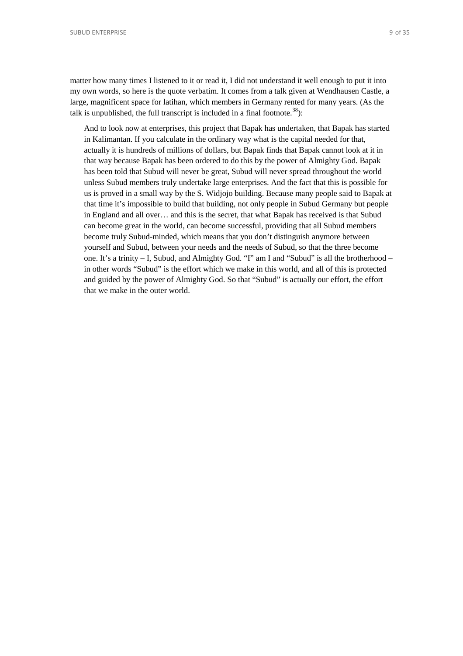SUBUD ENTERPRISE 9 OF 35

matter how many times I listened to it or read it, I did not understand it well enough to put it into my own words, so here is the quote verbatim. It comes from a talk given at Wendhausen Castle, a large, magnificent space for latihan, which members in Germany rented for many years. (As the talk is unpublished, the full transcript is included in a final footnote.<sup>[38](#page-25-0)</sup>):

And to look now at enterprises, this project that Bapak has undertaken, that Bapak has started in Kalimantan. If you calculate in the ordinary way what is the capital needed for that, actually it is hundreds of millions of dollars, but Bapak finds that Bapak cannot look at it in that way because Bapak has been ordered to do this by the power of Almighty God. Bapak has been told that Subud will never be great, Subud will never spread throughout the world unless Subud members truly undertake large enterprises. And the fact that this is possible for us is proved in a small way by the S. Widjojo building. Because many people said to Bapak at that time it's impossible to build that building, not only people in Subud Germany but people in England and all over… and this is the secret, that what Bapak has received is that Subud can become great in the world, can become successful, providing that all Subud members become truly Subud-minded, which means that you don't distinguish anymore between yourself and Subud, between your needs and the needs of Subud, so that the three become one. It's a trinity – I, Subud, and Almighty God. "I" am I and "Subud" is all the brotherhood – in other words "Subud" is the effort which we make in this world, and all of this is protected and guided by the power of Almighty God. So that "Subud" is actually our effort, the effort that we make in the outer world.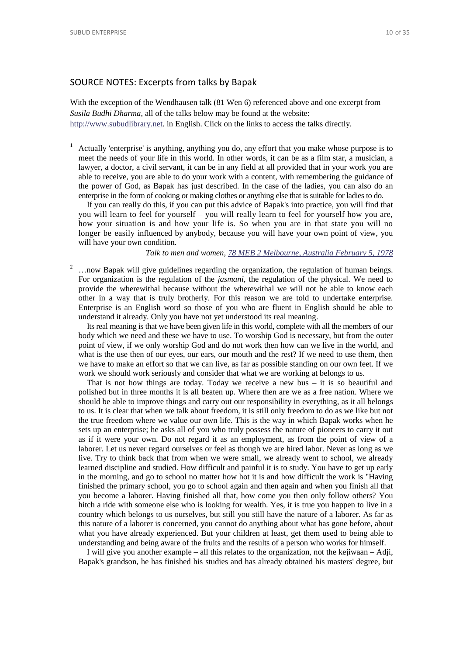## SOURCE NOTES: Excerpts from talks by Bapak

With the exception of the Wendhausen talk (81 Wen 6) referenced above and one excerpt from *Susila Budhi Dharma*, all of the talks below may be found at the website: [http://www.subudlibrary.net.](http://www.subudlibrary.net/) in English. Click on the links to access the talks directly.

<span id="page-9-0"></span><sup>1</sup> Actually 'enterprise' is anything, anything you do, any effort that you make whose purpose is to meet the needs of your life in this world. In other words, it can be as a film star, a musician, a lawyer, a doctor, a civil servant, it can be in any field at all provided that in your work you are able to receive, you are able to do your work with a content, with remembering the guidance of the power of God, as Bapak has just described. In the case of the ladies, you can also do an enterprise in the form of cooking or making clothes or anything else that is suitable for ladies to do.

If you can really do this, if you can put this advice of Bapak's into practice, you will find that you will learn to feel for yourself – you will really learn to feel for yourself how you are, how your situation is and how your life is. So when you are in that state you will no longer be easily influenced by anybody, because you will have your own point of view, you will have your own condition.

## *Talk to men and women, [78 MEB 2 Melbourne, Australia February 5, 1978](http://www.subudlibrary.net/English%20Library/Bapak_English/BAPAK231.HTM)*

<span id="page-9-1"></span><sup>2</sup> ... now Bapak will give guidelines regarding the organization, the regulation of human beings. For organization is the regulation of the *jasmani*, the regulation of the physical. We need to provide the wherewithal because without the wherewithal we will not be able to know each other in a way that is truly brotherly. For this reason we are told to undertake enterprise. Enterprise is an English word so those of you who are fluent in English should be able to understand it already. Only you have not yet understood its real meaning.

Its real meaning is that we have been given life in this world, complete with all the members of our body which we need and these we have to use. To worship God is necessary, but from the outer point of view, if we only worship God and do not work then how can we live in the world, and what is the use then of our eyes, our ears, our mouth and the rest? If we need to use them, then we have to make an effort so that we can live, as far as possible standing on our own feet. If we work we should work seriously and consider that what we are working at belongs to us.

<span id="page-9-2"></span>That is not how things are today. Today we receive a new bus  $-$  it is so beautiful and polished but in three months it is all beaten up. Where then are we as a free nation. Where we should be able to improve things and carry out our responsibility in everything, as it all belongs to us. It is clear that when we talk about freedom, it is still only freedom to do as we like but not the true freedom where we value our own life. This is the way in which Bapak works when he sets up an enterprise; he asks all of you who truly possess the nature of pioneers to carry it out as if it were your own. Do not regard it as an employment, as from the point of view of a laborer. Let us never regard ourselves or feel as though we are hired labor. Never as long as we live. Try to think back that from when we were small, we already went to school, we already learned discipline and studied. How difficult and painful it is to study. You have to get up early in the morning, and go to school no matter how hot it is and how difficult the work is "Having finished the primary school, you go to school again and then again and when you finish all that you become a laborer. Having finished all that, how come you then only follow others? You hitch a ride with someone else who is looking for wealth. Yes, it is true you happen to live in a country which belongs to us ourselves, but still you still have the nature of a laborer. As far as this nature of a laborer is concerned, you cannot do anything about what has gone before, about what you have already experienced. But your children at least, get them used to being able to understanding and being aware of the fruits and the results of a person who works for himself.

<span id="page-9-3"></span>I will give you another example – all this relates to the organization, not the kejiwaan – Adji, Bapak's grandson, he has finished his studies and has already obtained his masters' degree, but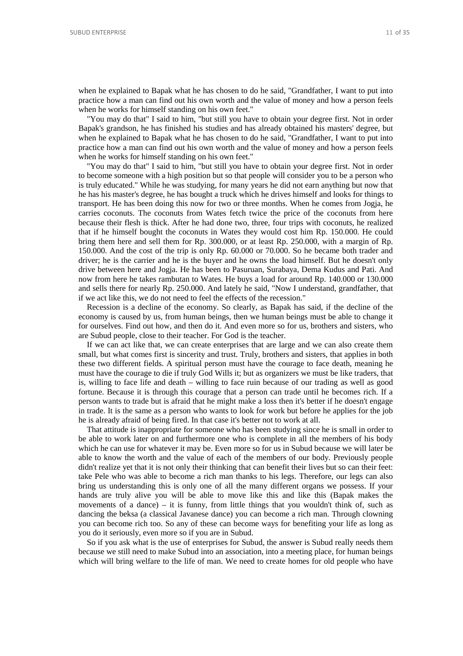when he explained to Bapak what he has chosen to do he said, "Grandfather, I want to put into practice how a man can find out his own worth and the value of money and how a person feels when he works for himself standing on his own feet."

"You may do that" I said to him, "but still you have to obtain your degree first. Not in order Bapak's grandson, he has finished his studies and has already obtained his masters' degree, but when he explained to Bapak what he has chosen to do he said, "Grandfather, I want to put into practice how a man can find out his own worth and the value of money and how a person feels when he works for himself standing on his own feet."

<span id="page-10-0"></span>"You may do that" I said to him, "but still you have to obtain your degree first. Not in order to become someone with a high position but so that people will consider you to be a person who is truly educated." While he was studying, for many years he did not earn anything but now that he has his master's degree, he has bought a truck which he drives himself and looks for things to transport. He has been doing this now for two or three months. When he comes from Jogja, he carries coconuts. The coconuts from Wates fetch twice the price of the coconuts from here because their flesh is thick. After he had done two, three, four trips with coconuts, he realized that if he himself bought the coconuts in Wates they would cost him Rp. 150.000. He could bring them here and sell them for Rp. 300.000, or at least Rp. 250.000, with a margin of Rp. 150.000. And the cost of the trip is only Rp. 60.000 or 70.000. So he became both trader and driver; he is the carrier and he is the buyer and he owns the load himself. But he doesn't only drive between here and Jogja. He has been to Pasuruan, Surabaya, Dema Kudus and Pati. And now from here he takes rambutan to Wates. He buys a load for around Rp. 140.000 or 130.000 and sells there for nearly Rp. 250.000. And lately he said, "Now I understand, grandfather, that if we act like this, we do not need to feel the effects of the recession."

<span id="page-10-1"></span>Recession is a decline of the economy. So clearly, as Bapak has said, if the decline of the economy is caused by us, from human beings, then we human beings must be able to change it for ourselves. Find out how, and then do it. And even more so for us, brothers and sisters, who are Subud people, close to their teacher. For God is the teacher.

If we can act like that, we can create enterprises that are large and we can also create them small, but what comes first is sincerity and trust. Truly, brothers and sisters, that applies in both these two different fields. A spiritual person must have the courage to face death, meaning he must have the courage to die if truly God Wills it; but as organizers we must be like traders, that is, willing to face life and death – willing to face ruin because of our trading as well as good fortune. Because it is through this courage that a person can trade until he becomes rich. If a person wants to trade but is afraid that he might make a loss then it's better if he doesn't engage in trade. It is the same as a person who wants to look for work but before he applies for the job he is already afraid of being fired. In that case it's better not to work at all.

<span id="page-10-2"></span>That attitude is inappropriate for someone who has been studying since he is small in order to be able to work later on and furthermore one who is complete in all the members of his body which he can use for whatever it may be. Even more so for us in Subud because we will later be able to know the worth and the value of each of the members of our body. Previously people didn't realize yet that it is not only their thinking that can benefit their lives but so can their feet: take Pele who was able to become a rich man thanks to his legs. Therefore, our legs can also bring us understanding this is only one of all the many different organs we possess. If your hands are truly alive you will be able to move like this and like this (Bapak makes the movements of a dance) – it is funny, from little things that you wouldn't think of, such as dancing the beksa (a classical Javanese dance) you can become a rich man. Through clowning you can become rich too. So any of these can become ways for benefiting your life as long as you do it seriously, even more so if you are in Subud.

So if you ask what is the use of enterprises for Subud, the answer is Subud really needs them because we still need to make Subud into an association, into a meeting place, for human beings which will bring welfare to the life of man. We need to create homes for old people who have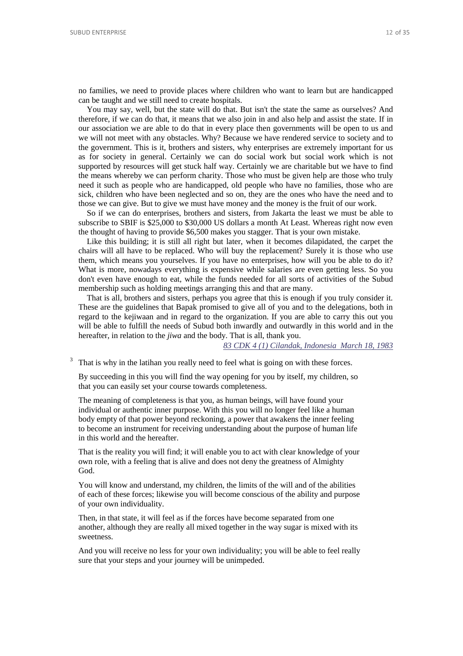no families, we need to provide places where children who want to learn but are handicapped can be taught and we still need to create hospitals.

You may say, well, but the state will do that. But isn't the state the same as ourselves? And therefore, if we can do that, it means that we also join in and also help and assist the state. If in our association we are able to do that in every place then governments will be open to us and we will not meet with any obstacles. Why? Because we have rendered service to society and to the government. This is it, brothers and sisters, why enterprises are extremely important for us as for society in general. Certainly we can do social work but social work which is not supported by resources will get stuck half way. Certainly we are charitable but we have to find the means whereby we can perform charity. Those who must be given help are those who truly need it such as people who are handicapped, old people who have no families, those who are sick, children who have been neglected and so on, they are the ones who have the need and to those we can give. But to give we must have money and the money is the fruit of our work.

<span id="page-11-0"></span>So if we can do enterprises, brothers and sisters, from Jakarta the least we must be able to subscribe to SBIF is \$25,000 to \$30,000 US dollars a month At Least. Whereas right now even the thought of having to provide \$6,500 makes you stagger. That is your own mistake.

Like this building; it is still all right but later, when it becomes dilapidated, the carpet the chairs will all have to be replaced. Who will buy the replacement? Surely it is those who use them, which means you yourselves. If you have no enterprises, how will you be able to do it? What is more, nowadays everything is expensive while salaries are even getting less. So you don't even have enough to eat, while the funds needed for all sorts of activities of the Subud membership such as holding meetings arranging this and that are many.

That is all, brothers and sisters, perhaps you agree that this is enough if you truly consider it. These are the guidelines that Bapak promised to give all of you and to the delegations, both in regard to the kejiwaan and in regard to the organization. If you are able to carry this out you will be able to fulfill the needs of Subud both inwardly and outwardly in this world and in the hereafter, in relation to the *jiwa* and the body. That is all, thank you.

*[83 CDK 4 \(1\) Cilandak, Indonesia March 18, 1983](http://www.subudlibrary.net/English%20Library/Bapak_English/BAPAK538.HTM)*

That is why in the latihan you really need to feel what is going on with these forces.

By succeeding in this you will find the way opening for you by itself, my children, so that you can easily set your course towards completeness.

The meaning of completeness is that you, as human beings, will have found your individual or authentic inner purpose. With this you will no longer feel like a human body empty of that power beyond reckoning, a power that awakens the inner feeling to become an instrument for receiving understanding about the purpose of human life in this world and the hereafter.

<span id="page-11-1"></span>That is the reality you will find; it will enable you to act with clear knowledge of your own role, with a feeling that is alive and does not deny the greatness of Almighty God.

You will know and understand, my children, the limits of the will and of the abilities of each of these forces; likewise you will become conscious of the ability and purpose of your own individuality.

Then, in that state, it will feel as if the forces have become separated from one another, although they are really all mixed together in the way sugar is mixed with its sweetness.

And you will receive no less for your own individuality; you will be able to feel really sure that your steps and your journey will be unimpeded.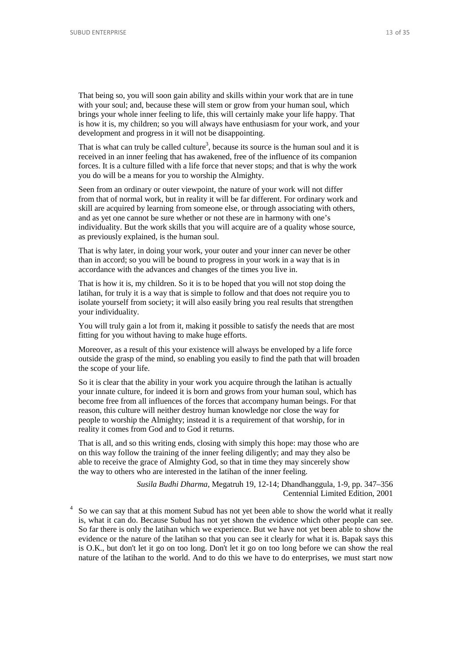That being so, you will soon gain ability and skills within your work that are in tune with your soul; and, because these will stem or grow from your human soul, which brings your whole inner feeling to life, this will certainly make your life happy. That is how it is, my children; so you will always have enthusiasm for your work, and your development and progress in it will not be disappointing.

<span id="page-12-0"></span>That is what can truly be called culture<sup>3</sup>, because its source is the human soul and it is received in an inner feeling that has awakened, free of the influence of its companion forces. It is a culture filled with a life force that never stops; and that is why the work you do will be a means for you to worship the Almighty.

<span id="page-12-1"></span>Seen from an ordinary or outer viewpoint, the nature of your work will not differ from that of normal work, but in reality it will be far different. For ordinary work and skill are acquired by learning from someone else, or through associating with others, and as yet one cannot be sure whether or not these are in harmony with one's individuality. But the work skills that you will acquire are of a quality whose source, as previously explained, is the human soul.

That is why later, in doing your work, your outer and your inner can never be other than in accord; so you will be bound to progress in your work in a way that is in accordance with the advances and changes of the times you live in.

That is how it is, my children. So it is to be hoped that you will not stop doing the latihan, for truly it is a way that is simple to follow and that does not require you to isolate yourself from society; it will also easily bring you real results that strengthen your individuality.

You will truly gain a lot from it, making it possible to satisfy the needs that are most fitting for you without having to make huge efforts.

<span id="page-12-2"></span>Moreover, as a result of this your existence will always be enveloped by a life force outside the grasp of the mind, so enabling you easily to find the path that will broaden the scope of your life.

So it is clear that the ability in your work you acquire through the latihan is actually your innate culture, for indeed it is born and grows from your human soul, which has become free from all influences of the forces that accompany human beings. For that reason, this culture will neither destroy human knowledge nor close the way for people to worship the Almighty; instead it is a requirement of that worship, for in reality it comes from God and to God it returns.

That is all, and so this writing ends, closing with simply this hope: may those who are on this way follow the training of the inner feeling diligently; and may they also be able to receive the grace of Almighty God, so that in time they may sincerely show the way to others who are interested in the latihan of the inner feeling.

> *Susila Budhi Dharma*, Megatruh 19, 12-14; Dhandhanggula, 1-9, pp. 347–356 Centennial Limited Edition, 2001

So we can say that at this moment Subud has not yet been able to show the world what it really is, what it can do. Because Subud has not yet shown the evidence which other people can see. So far there is only the latihan which we experience. But we have not yet been able to show the evidence or the nature of the latihan so that you can see it clearly for what it is. Bapak says this is O.K., but don't let it go on too long. Don't let it go on too long before we can show the real nature of the latihan to the world. And to do this we have to do enterprises, we must start now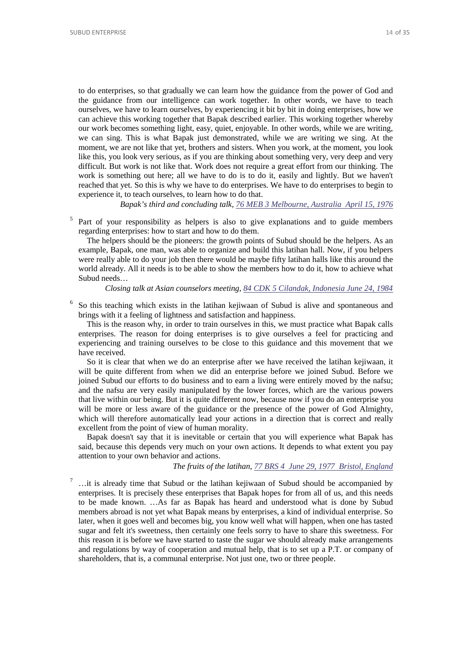<span id="page-13-0"></span>to do enterprises, so that gradually we can learn how the guidance from the power of God and the guidance from our intelligence can work together. In other words, we have to teach ourselves, we have to learn ourselves, by experiencing it bit by bit in doing enterprises, how we can achieve this working together that Bapak described earlier. This working together whereby our work becomes something light, easy, quiet, enjoyable. In other words, while we are writing, we can sing. This is what Bapak just demonstrated, while we are writing we sing. At the moment, we are not like that yet, brothers and sisters. When you work, at the moment, you look like this, you look very serious, as if you are thinking about something very, very deep and very difficult. But work is not like that. Work does not require a great effort from our thinking. The work is something out here; all we have to do is to do it, easily and lightly. But we haven't reached that yet. So this is why we have to do enterprises. We have to do enterprises to begin to experience it, to teach ourselves, to learn how to do that.

*Bapak's third and concluding talk, [76 MEB 3 Melbourne, Australia April 15, 1976](http://www.subudlibrary.net/English%20Library/Bapak_English/BAPAK246.HTM)*

<sup>5</sup> Part of your responsibility as helpers is also to give explanations and to guide members regarding enterprises: how to start and how to do them.

The helpers should be the pioneers: the growth points of Subud should be the helpers. As an example, Bapak, one man, was able to organize and build this latihan hall. Now, if you helpers were really able to do your job then there would be maybe fifty latihan halls like this around the world already. All it needs is to be able to show the members how to do it, how to achieve what Subud needs…

#### *Closing talk at Asian counselors meeting, [84 CDK 5 Cilandak, Indonesia June 24, 1984](http://www.subudlibrary.net/English%20Library/Bapak_English/BAPAK78.HTM)*

<span id="page-13-4"></span><span id="page-13-1"></span><sup>6</sup> So this teaching which exists in the latihan kejiwaan of Subud is alive and spontaneous and brings with it a feeling of lightness and satisfaction and happiness.

This is the reason why, in order to train ourselves in this, we must practice what Bapak calls enterprises. The reason for doing enterprises is to give ourselves a feel for practicing and experiencing and training ourselves to be close to this guidance and this movement that we have received.

So it is clear that when we do an enterprise after we have received the latihan kejiwaan, it will be quite different from when we did an enterprise before we joined Subud. Before we joined Subud our efforts to do business and to earn a living were entirely moved by the nafsu; and the nafsu are very easily manipulated by the lower forces, which are the various powers that live within our being. But it is quite different now, because now if you do an enterprise you will be more or less aware of the guidance or the presence of the power of God Almighty, which will therefore automatically lead your actions in a direction that is correct and really excellent from the point of view of human morality.

<span id="page-13-2"></span>Bapak doesn't say that it is inevitable or certain that you will experience what Bapak has said, because this depends very much on your own actions. It depends to what extent you pay attention to your own behavior and actions.

## *The fruits of the latihan, [77 BRS 4 June 29, 1977 Bristol, England](http://www.subudlibrary.net/English%20Library/Bapak_English/BAPAK67.HTM)*

<span id="page-13-5"></span><span id="page-13-3"></span><sup>7</sup> …it is already time that Subud or the latihan kejiwaan of Subud should be accompanied by enterprises. It is precisely these enterprises that Bapak hopes for from all of us, and this needs to be made known. …As far as Bapak has heard and understood what is done by Subud members abroad is not yet what Bapak means by enterprises, a kind of individual enterprise. So later, when it goes well and becomes big, you know well what will happen, when one has tasted sugar and felt it's sweetness, then certainly one feels sorry to have to share this sweetness. For this reason it is before we have started to taste the sugar we should already make arrangements and regulations by way of cooperation and mutual help, that is to set up a P.T. or company of shareholders, that is, a communal enterprise. Not just one, two or three people.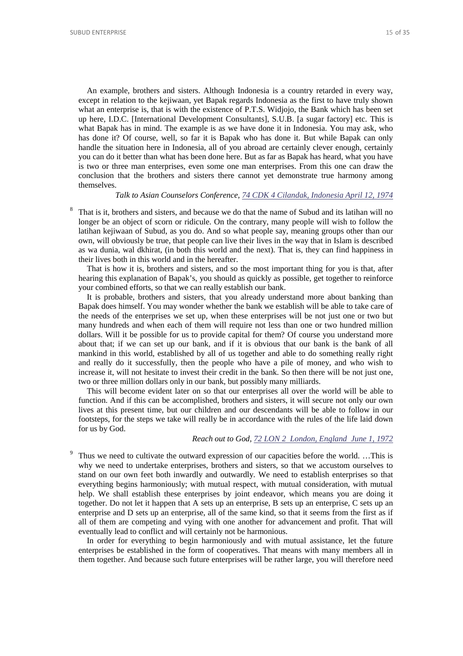An example, brothers and sisters. Although Indonesia is a country retarded in every way, except in relation to the kejiwaan, yet Bapak regards Indonesia as the first to have truly shown what an enterprise is, that is with the existence of P.T.S. Widjojo, the Bank which has been set up here, I.D.C. [International Development Consultants], S.U.B. [a sugar factory] etc. This is what Bapak has in mind. The example is as we have done it in Indonesia. You may ask, who has done it? Of course, well, so far it is Bapak who has done it. But while Bapak can only handle the situation here in Indonesia, all of you abroad are certainly clever enough, certainly you can do it better than what has been done here. But as far as Bapak has heard, what you have is two or three man enterprises, even some one man enterprises. From this one can draw the conclusion that the brothers and sisters there cannot yet demonstrate true harmony among themselves.

## *Talk to Asian Counselors Conference, [74 CDK 4 Cilandak, Indonesia April 12, 1974](http://www.subudlibrary.net/English%20Library/Bapak_English/BAPAK588.HTM)*

<span id="page-14-1"></span>That is it, brothers and sisters, and because we do that the name of Subud and its latihan will no longer be an object of scorn or ridicule. On the contrary, many people will wish to follow the latihan kejiwaan of Subud, as you do. And so what people say, meaning groups other than our own, will obviously be true, that people can live their lives in the way that in Islam is described as wa dunia, wal dkhirat, (in both this world and the next). That is, they can find happiness in their lives both in this world and in the hereafter.

That is how it is, brothers and sisters, and so the most important thing for you is that, after hearing this explanation of Bapak's, you should as quickly as possible, get together to reinforce your combined efforts, so that we can really establish our bank.

<span id="page-14-0"></span>It is probable, brothers and sisters, that you already understand more about banking than Bapak does himself. You may wonder whether the bank we establish will be able to take care of the needs of the enterprises we set up, when these enterprises will be not just one or two but many hundreds and when each of them will require not less than one or two hundred million dollars. Will it be possible for us to provide capital for them? Of course you understand more about that; if we can set up our bank, and if it is obvious that our bank is the bank of all mankind in this world, established by all of us together and able to do something really right and really do it successfully, then the people who have a pile of money, and who wish to increase it, will not hesitate to invest their credit in the bank. So then there will be not just one, two or three million dollars only in our bank, but possibly many milliards.

This will become evident later on so that our enterprises all over the world will be able to function. And if this can be accomplished, brothers and sisters, it will secure not only our own lives at this present time, but our children and our descendants will be able to follow in our footsteps, for the steps we take will really be in accordance with the rules of the life laid down for us by God.

#### *Reach out to God, [72 LON 2 London, England June 1, 1972](http://www.subudlibrary.net/English%20Library/Bapak_English/BAPAK574.HTM)*

<span id="page-14-2"></span>Thus we need to cultivate the outward expression of our capacities before the world. …This is why we need to undertake enterprises, brothers and sisters, so that we accustom ourselves to stand on our own feet both inwardly and outwardly. We need to establish enterprises so that everything begins harmoniously; with mutual respect, with mutual consideration, with mutual help. We shall establish these enterprises by joint endeavor, which means you are doing it together. Do not let it happen that A sets up an enterprise, B sets up an enterprise, C sets up an enterprise and D sets up an enterprise, all of the same kind, so that it seems from the first as if all of them are competing and vying with one another for advancement and profit. That will eventually lead to conflict and will certainly not be harmonious.

In order for everything to begin harmoniously and with mutual assistance, let the future enterprises be established in the form of cooperatives. That means with many members all in them together. And because such future enterprises will be rather large, you will therefore need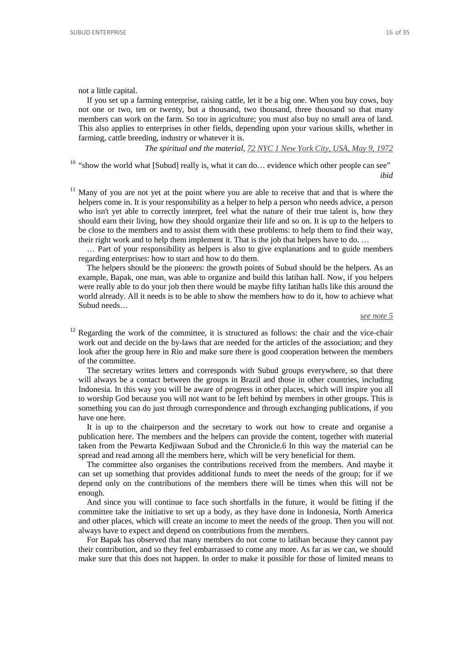<span id="page-15-0"></span>not a little capital.

If you set up a farming enterprise, raising cattle, let it be a big one. When you buy cows, buy not one or two, ten or twenty, but a thousand, two thousand, three thousand so that many members can work on the farm. So too in agriculture; you must also buy no small area of land. This also applies to enterprises in other fields, depending upon your various skills, whether in farming, cattle breeding, industry or whatever it is.

*The spiritual and the material, 72 NYC 1 New York City, USA, May 9, 1972*

<span id="page-15-2"></span><sup>10</sup> "show the world what [Subud] really is, what it can do... evidence which other people can see"

*ibid*

 $11$  Many of you are not yet at the point where you are able to receive that and that is where the helpers come in. It is your responsibility as a helper to help a person who needs advice, a person who isn't yet able to correctly interpret, feel what the nature of their true talent is, how they should earn their living, how they should organize their life and so on. It is up to the helpers to be close to the members and to assist them with these problems: to help them to find their way, their right work and to help them implement it. That is the job that helpers have to do. …

… Part of your responsibility as helpers is also to give explanations and to guide members regarding enterprises: how to start and how to do them.

The helpers should be the pioneers: the growth points of Subud should be the helpers. As an example, Bapak, one man, was able to organize and build this latihan hall. Now, if you helpers were really able to do your job then there would be maybe fifty latihan halls like this around the world already. All it needs is to be able to show the members how to do it, how to achieve what Subud needs…

#### *[see note 5](#page-13-4)*

 $12$  Regarding the work of the committee, it is structured as follows: the chair and the vice-chair work out and decide on the by-laws that are needed for the articles of the association; and they look after the group here in Rio and make sure there is good cooperation between the members of the committee.

The secretary writes letters and corresponds with Subud groups everywhere, so that there will always be a contact between the groups in Brazil and those in other countries, including Indonesia. In this way you will be aware of progress in other places, which will inspire you all to worship God because you will not want to be left behind by members in other groups. This is something you can do just through correspondence and through exchanging publications, if you have one here.

<span id="page-15-1"></span>It is up to the chairperson and the secretary to work out how to create and organise a publication here. The members and the helpers can provide the content, together with material taken from the Pewarta Kedjiwaan Subud and the Chronicle.6 In this way the material can be spread and read among all the members here, which will be very beneficial for them.

The committee also organises the contributions received from the members. And maybe it can set up something that provides additional funds to meet the needs of the group; for if we depend only on the contributions of the members there will be times when this will not be enough.

And since you will continue to face such shortfalls in the future, it would be fitting if the committee take the initiative to set up a body, as they have done in Indonesia, North America and other places, which will create an income to meet the needs of the group. Then you will not always have to expect and depend on contributions from the members.

For Bapak has observed that many members do not come to latihan because they cannot pay their contribution, and so they feel embarrassed to come any more. As far as we can, we should make sure that this does not happen. In order to make it possible for those of limited means to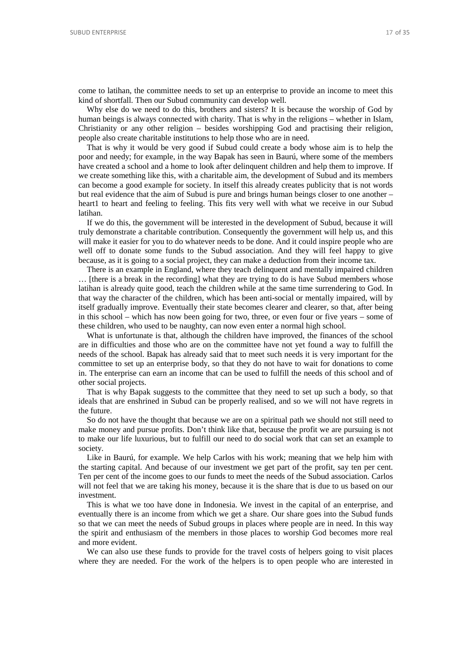come to latihan, the committee needs to set up an enterprise to provide an income to meet this kind of shortfall. Then our Subud community can develop well.

Why else do we need to do this, brothers and sisters? It is because the worship of God by human beings is always connected with charity. That is why in the religions – whether in Islam, Christianity or any other religion – besides worshipping God and practising their religion, people also create charitable institutions to help those who are in need.

That is why it would be very good if Subud could create a body whose aim is to help the poor and needy; for example, in the way Bapak has seen in Baurú, where some of the members have created a school and a home to look after delinquent children and help them to improve. If we create something like this, with a charitable aim, the development of Subud and its members can become a good example for society. In itself this already creates publicity that is not words but real evidence that the aim of Subud is pure and brings human beings closer to one another – heart1 to heart and feeling to feeling. This fits very well with what we receive in our Subud latihan.

If we do this, the government will be interested in the development of Subud, because it will truly demonstrate a charitable contribution. Consequently the government will help us, and this will make it easier for you to do whatever needs to be done. And it could inspire people who are well off to donate some funds to the Subud association. And they will feel happy to give because, as it is going to a social project, they can make a deduction from their income tax.

There is an example in England, where they teach delinquent and mentally impaired children … [there is a break in the recording] what they are trying to do is have Subud members whose latihan is already quite good, teach the children while at the same time surrendering to God. In that way the character of the children, which has been anti-social or mentally impaired, will by itself gradually improve. Eventually their state becomes clearer and clearer, so that, after being in this school – which has now been going for two, three, or even four or five years – some of these children, who used to be naughty, can now even enter a normal high school.

<span id="page-16-0"></span>What is unfortunate is that, although the children have improved, the finances of the school are in difficulties and those who are on the committee have not yet found a way to fulfill the needs of the school. Bapak has already said that to meet such needs it is very important for the committee to set up an enterprise body, so that they do not have to wait for donations to come in. The enterprise can earn an income that can be used to fulfill the needs of this school and of other social projects.

That is why Bapak suggests to the committee that they need to set up such a body, so that ideals that are enshrined in Subud can be properly realised, and so we will not have regrets in the future.

So do not have the thought that because we are on a spiritual path we should not still need to make money and pursue profits. Don't think like that, because the profit we are pursuing is not to make our life luxurious, but to fulfill our need to do social work that can set an example to society.

Like in Baurú, for example. We help Carlos with his work; meaning that we help him with the starting capital. And because of our investment we get part of the profit, say ten per cent. Ten per cent of the income goes to our funds to meet the needs of the Subud association. Carlos will not feel that we are taking his money, because it is the share that is due to us based on our investment.

This is what we too have done in Indonesia. We invest in the capital of an enterprise, and eventually there is an income from which we get a share. Our share goes into the Subud funds so that we can meet the needs of Subud groups in places where people are in need. In this way the spirit and enthusiasm of the members in those places to worship God becomes more real and more evident.

<span id="page-16-1"></span>We can also use these funds to provide for the travel costs of helpers going to visit places where they are needed. For the work of the helpers is to open people who are interested in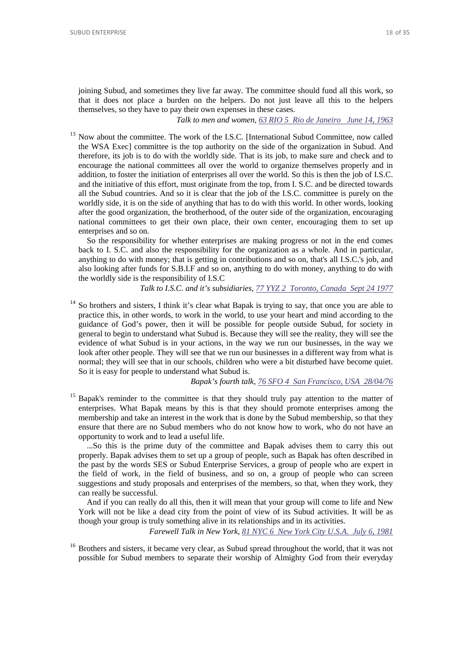joining Subud, and sometimes they live far away. The committee should fund all this work, so that it does not place a burden on the helpers. Do not just leave all this to the helpers themselves, so they have to pay their own expenses in these cases.

*Talk to men and women, [63 RIO 5 Rio de Janeiro June 14, 1963](http://www.subudlibrary.net/English%20Library/Bapak_English/BAPAK757.HTM)*

 $13$  Now about the committee. The work of the I.S.C. [International Subud Committee, now called the WSA Exec] committee is the top authority on the side of the organization in Subud. And therefore, its job is to do with the worldly side. That is its job, to make sure and check and to encourage the national committees all over the world to organize themselves properly and in addition, to foster the initiation of enterprises all over the world. So this is then the job of I.S.C. and the initiative of this effort, must originate from the top, from I. S.C. and be directed towards all the Subud countries. And so it is clear that the job of the I.S.C. committee is purely on the worldly side, it is on the side of anything that has to do with this world. In other words, looking after the good organization, the brotherhood, of the outer side of the organization, encouraging national committees to get their own place, their own center, encouraging them to set up enterprises and so on.

So the responsibility for whether enterprises are making progress or not in the end comes back to I. S.C. and also the responsibility for the organization as a whole. And in particular, anything to do with money; that is getting in contributions and so on, that's all I.S.C.'s job, and also looking after funds for S.B.I.F and so on, anything to do with money, anything to do with the worldly side is the responsibility of I.S.C

*Talk to I.S.C. and it's subsidiaries, [77 YYZ 2 Toronto, Canada Sept 24 1977](http://www.subudlibrary.net/English%20Library/Bapak_English/BAPAK637.HTM)*

<span id="page-17-0"></span><sup>14</sup> So brothers and sisters, I think it's clear what Bapak is trying to say, that once you are able to practice this, in other words, to work in the world, to use your heart and mind according to the guidance of God's power, then it will be possible for people outside Subud, for society in general to begin to understand what Subud is. Because they will see the reality, they will see the evidence of what Subud is in your actions, in the way we run our businesses, in the way we look after other people. They will see that we run our businesses in a different way from what is normal; they will see that in our schools, children who were a bit disturbed have become quiet. So it is easy for people to understand what Subud is.

*Bapak's fourth talk, [76 SFO 4 San Francisco, USA 28/04/76](http://www.subudlibrary.net/English%20Library/Bapak_English/BAPAK249.HTM)*

<sup>15</sup> Bapak's reminder to the committee is that they should truly pay attention to the matter of enterprises. What Bapak means by this is that they should promote enterprises among the membership and take an interest in the work that is done by the Subud membership, so that they ensure that there are no Subud members who do not know how to work, who do not have an opportunity to work and to lead a useful life.

...So this is the prime duty of the committee and Bapak advises them to carry this out properly. Bapak advises them to set up a group of people, such as Bapak has often described in the past by the words SES or Subud Enterprise Services, a group of people who are expert in the field of work, in the field of business, and so on, a group of people who can screen suggestions and study proposals and enterprises of the members, so that, when they work, they can really be successful.

And if you can really do all this, then it will mean that your group will come to life and New York will not be like a dead city from the point of view of its Subud activities. It will be as though your group is truly something alive in its relationships and in its activities.

*Farewell Talk in New York, [81 NYC 6 New York City U.S.A. July 6, 1981](http://www.subudlibrary.net/English%20Library/Bapak_English/BAPAK401.HTM)*

<span id="page-17-2"></span><span id="page-17-1"></span><sup>16</sup> Brothers and sisters, it became very clear, as Subud spread throughout the world, that it was not possible for Subud members to separate their worship of Almighty God from their everyday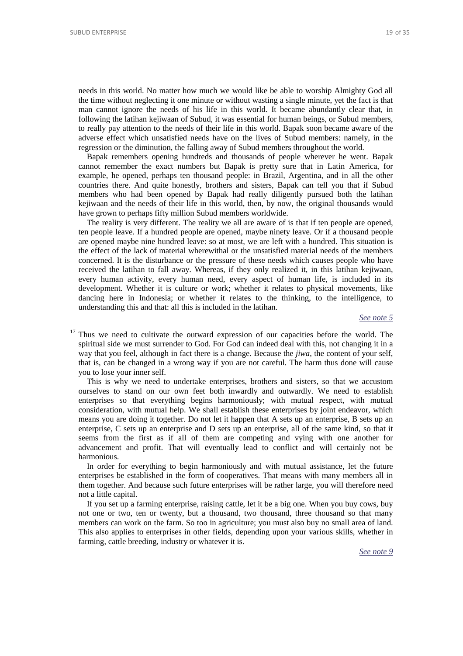<span id="page-18-0"></span>needs in this world. No matter how much we would like be able to worship Almighty God all the time without neglecting it one minute or without wasting a single minute, yet the fact is that man cannot ignore the needs of his life in this world. It became abundantly clear that, in following the latihan kejiwaan of Subud, it was essential for human beings, or Subud members, to really pay attention to the needs of their life in this world. Bapak soon became aware of the adverse effect which unsatisfied needs have on the lives of Subud members: namely, in the regression or the diminution, the falling away of Subud members throughout the world.

Bapak remembers opening hundreds and thousands of people wherever he went. Bapak cannot remember the exact numbers but Bapak is pretty sure that in Latin America, for example, he opened, perhaps ten thousand people: in Brazil, Argentina, and in all the other countries there. And quite honestly, brothers and sisters, Bapak can tell you that if Subud members who had been opened by Bapak had really diligently pursued both the latihan kejiwaan and the needs of their life in this world, then, by now, the original thousands would have grown to perhaps fifty million Subud members worldwide.

<span id="page-18-1"></span>The reality is very different. The reality we all are aware of is that if ten people are opened, ten people leave. If a hundred people are opened, maybe ninety leave. Or if a thousand people are opened maybe nine hundred leave: so at most, we are left with a hundred. This situation is the effect of the lack of material wherewithal or the unsatisfied material needs of the members concerned. It is the disturbance or the pressure of these needs which causes people who have received the latihan to fall away. Whereas, if they only realized it, in this latihan kejiwaan, every human activity, every human need, every aspect of human life, is included in its development. Whether it is culture or work; whether it relates to physical movements, like dancing here in Indonesia; or whether it relates to the thinking, to the intelligence, to understanding this and that: all this is included in the latihan.

#### *[See note 5](#page-13-4)*

 $17$  Thus we need to cultivate the outward expression of our capacities before the world. The spiritual side we must surrender to God. For God can indeed deal with this, not changing it in a way that you feel, although in fact there is a change. Because the *jiwa*, the content of your self, that is, can be changed in a wrong way if you are not careful. The harm thus done will cause you to lose your inner self.

This is why we need to undertake enterprises, brothers and sisters, so that we accustom ourselves to stand on our own feet both inwardly and outwardly. We need to establish enterprises so that everything begins harmoniously; with mutual respect, with mutual consideration, with mutual help. We shall establish these enterprises by joint endeavor, which means you are doing it together. Do not let it happen that A sets up an enterprise, B sets up an enterprise, C sets up an enterprise and D sets up an enterprise, all of the same kind, so that it seems from the first as if all of them are competing and vying with one another for advancement and profit. That will eventually lead to conflict and will certainly not be harmonious.

In order for everything to begin harmoniously and with mutual assistance, let the future enterprises be established in the form of cooperatives. That means with many members all in them together. And because such future enterprises will be rather large, you will therefore need not a little capital.

<span id="page-18-2"></span>If you set up a farming enterprise, raising cattle, let it be a big one. When you buy cows, buy not one or two, ten or twenty, but a thousand, two thousand, three thousand so that many members can work on the farm. So too in agriculture; you must also buy no small area of land. This also applies to enterprises in other fields, depending upon your various skills, whether in farming, cattle breeding, industry or whatever it is.

*[See note 9](#page-15-2)*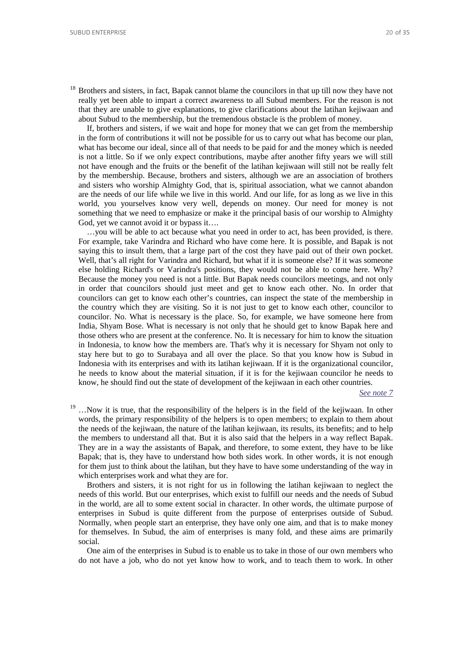<sup>18</sup> Brothers and sisters, in fact, Bapak cannot blame the councilors in that up till now they have not really yet been able to impart a correct awareness to all Subud members. For the reason is not that they are unable to give explanations, to give clarifications about the latihan kejiwaan and about Subud to the membership, but the tremendous obstacle is the problem of money.

If, brothers and sisters, if we wait and hope for money that we can get from the membership in the form of contributions it will not be possible for us to carry out what has become our plan, what has become our ideal, since all of that needs to be paid for and the money which is needed is not a little. So if we only expect contributions, maybe after another fifty years we will still not have enough and the fruits or the benefit of the latihan kejiwaan will still not be really felt by the membership. Because, brothers and sisters, although we are an association of brothers and sisters who worship Almighty God, that is, spiritual association, what we cannot abandon are the needs of our life while we live in this world. And our life, for as long as we live in this world, you yourselves know very well, depends on money. Our need for money is not something that we need to emphasize or make it the principal basis of our worship to Almighty God, yet we cannot avoid it or bypass it….

…you will be able to act because what you need in order to act, has been provided, is there. For example, take Varindra and Richard who have come here. It is possible, and Bapak is not saying this to insult them, that a large part of the cost they have paid out of their own pocket. Well, that's all right for Varindra and Richard, but what if it is someone else? If it was someone else holding Richard's or Varindra's positions, they would not be able to come here. Why? Because the money you need is not a little. But Bapak needs councilors meetings, and not only in order that councilors should just meet and get to know each other. No. In order that councilors can get to know each other's countries, can inspect the state of the membership in the country which they are visiting. So it is not just to get to know each other, councilor to councilor. No. What is necessary is the place. So, for example, we have someone here from India, Shyam Bose. What is necessary is not only that he should get to know Bapak here and those others who are present at the conference. No. It is necessary for him to know the situation in Indonesia, to know how the members are. That's why it is necessary for Shyam not only to stay here but to go to Surabaya and all over the place. So that you know how is Subud in Indonesia with its enterprises and with its latihan kejiwaan. If it is the organizational councilor, he needs to know about the material situation, if it is for the kejiwaan councilor he needs to know, he should find out the state of development of the kejiwaan in each other countries.

*[See note 7](#page-14-1)*

<sup>19</sup> ... Now it is true, that the responsibility of the helpers is in the field of the kejiwaan. In other words, the primary responsibility of the helpers is to open members; to explain to them about the needs of the kejiwaan, the nature of the latihan kejiwaan, its results, its benefits; and to help the members to understand all that. But it is also said that the helpers in a way reflect Bapak. They are in a way the assistants of Bapak, and therefore, to some extent, they have to be like Bapak; that is, they have to understand how both sides work. In other words, it is not enough for them just to think about the latihan, but they have to have some understanding of the way in which enterprises work and what they are for.

<span id="page-19-0"></span>Brothers and sisters, it is not right for us in following the latihan kejiwaan to neglect the needs of this world. But our enterprises, which exist to fulfill our needs and the needs of Subud in the world, are all to some extent social in character. In other words, the ultimate purpose of enterprises in Subud is quite different from the purpose of enterprises outside of Subud. Normally, when people start an enterprise, they have only one aim, and that is to make money for themselves. In Subud, the aim of enterprises is many fold, and these aims are primarily social.

<span id="page-19-1"></span>One aim of the enterprises in Subud is to enable us to take in those of our own members who do not have a job, who do not yet know how to work, and to teach them to work. In other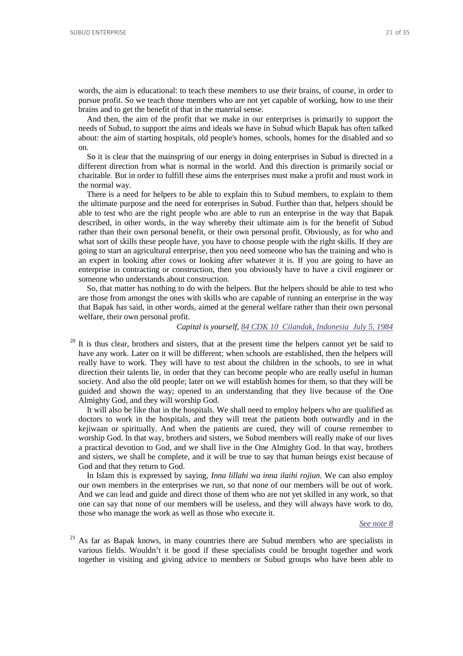words, the aim is educational: to teach these members to use their brains, of course, in order to pursue profit. So we teach those members who are not yet capable of working, how to use their brains and to get the benefit of that in the material sense.

And then, the aim of the profit that we make in our enterprises is primarily to support the needs of Subud, to support the aims and ideals we have in Subud which Bapak has often talked about: the aim of starting hospitals, old people's homes, schools, homes for the disabled and so on.

So it is clear that the mainspring of our energy in doing enterprises in Subud is directed in a different direction from what is normal in the world. And this direction is primarily social or charitable. But in order to fulfill these aims the enterprises must make a profit and must work in the normal way.

There is a need for helpers to be able to explain this to Subud members, to explain to them the ultimate purpose and the need for enterprises in Subud. Further than that, helpers should be able to test who are the right people who are able to run an enterprise in the way that Bapak described, in other words, in the way whereby their ultimate aim is for the benefit of Subud rather than their own personal benefit, or their own personal profit. Obviously, as for who and what sort of skills these people have, you have to choose people with the right skills. If they are going to start an agricultural enterprise, then you need someone who has the training and who is an expert in looking after cows or looking after whatever it is. If you are going to have an enterprise in contracting or construction, then you obviously have to have a civil engineer or someone who understands about construction.

So, that matter has nothing to do with the helpers. But the helpers should be able to test who are those from amongst the ones with skills who are capable of running an enterprise in the way that Bapak has said, in other words, aimed at the general welfare rather than their own personal welfare, their own personal profit.

#### *Capital is yourself, [84 CDK 10 Cilandak, Indonesia July 5, 1984](http://www.subudlibrary.net/English%20Library/Bapak_English/BAPAK79.HTM)*

 $20$  It is thus clear, brothers and sisters, that at the present time the helpers cannot yet be said to have any work. Later on it will be different; when schools are established, then the helpers will really have to work. They will have to test about the children in the schools, to see in what direction their talents lie, in order that they can become people who are really useful in human society. And also the old people; later on we will establish homes for them, so that they will be guided and shown the way; opened to an understanding that they live because of the One Almighty God, and they will worship God.

<span id="page-20-0"></span>It will also be like that in the hospitals. We shall need to employ helpers who are qualified as doctors to work in the hospitals, and they will treat the patients both outwardly and in the kejiwaan or spiritually. And when the patients are cured, they will of course remember to worship God. In that way, brothers and sisters, we Subud members will really make of our lives a practical devotion to God, and we shall live in the One Almighty God. In that way, brothers and sisters, we shall be complete, and it will be true to say that human beings exist because of God and that they return to God.

In Islam this is expressed by saying, *Inna lillahi wa inna ilaihi rojiun*. We can also employ our own members in the enterprises we run, so that none of our members will be out of work. And we can lead and guide and direct those of them who are not yet skilled in any work, so that one can say that none of our members will be useless, and they will always have work to do, those who manage the work as well as those who execute it.

#### *[See note 8](#page-14-2)*

 $21$  As far as Bapak knows, in many countries there are Subud members who are specialists in various fields. Wouldn't it be good if these specialists could be brought together and work together in visiting and giving advice to members or Subud groups who have been able to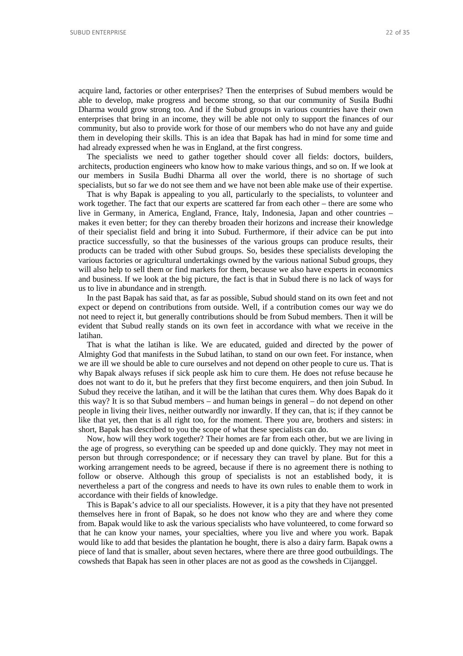acquire land, factories or other enterprises? Then the enterprises of Subud members would be able to develop, make progress and become strong, so that our community of Susila Budhi Dharma would grow strong too. And if the Subud groups in various countries have their own enterprises that bring in an income, they will be able not only to support the finances of our community, but also to provide work for those of our members who do not have any and guide them in developing their skills. This is an idea that Bapak has had in mind for some time and had already expressed when he was in England, at the first congress.

The specialists we need to gather together should cover all fields: doctors, builders, architects, production engineers who know how to make various things, and so on. If we look at our members in Susila Budhi Dharma all over the world, there is no shortage of such specialists, but so far we do not see them and we have not been able make use of their expertise.

That is why Bapak is appealing to you all, particularly to the specialists, to volunteer and work together. The fact that our experts are scattered far from each other – there are some who live in Germany, in America, England, France, Italy, Indonesia, Japan and other countries – makes it even better; for they can thereby broaden their horizons and increase their knowledge of their specialist field and bring it into Subud. Furthermore, if their advice can be put into practice successfully, so that the businesses of the various groups can produce results, their products can be traded with other Subud groups. So, besides these specialists developing the various factories or agricultural undertakings owned by the various national Subud groups, they will also help to sell them or find markets for them, because we also have experts in economics and business. If we look at the big picture, the fact is that in Subud there is no lack of ways for us to live in abundance and in strength.

<span id="page-21-0"></span>In the past Bapak has said that, as far as possible, Subud should stand on its own feet and not expect or depend on contributions from outside. Well, if a contribution comes our way we do not need to reject it, but generally contributions should be from Subud members. Then it will be evident that Subud really stands on its own feet in accordance with what we receive in the latihan.

That is what the latihan is like. We are educated, guided and directed by the power of Almighty God that manifests in the Subud latihan, to stand on our own feet. For instance, when we are ill we should be able to cure ourselves and not depend on other people to cure us. That is why Bapak always refuses if sick people ask him to cure them. He does not refuse because he does not want to do it, but he prefers that they first become enquirers, and then join Subud. In Subud they receive the latihan, and it will be the latihan that cures them. Why does Bapak do it this way? It is so that Subud members – and human beings in general – do not depend on other people in living their lives, neither outwardly nor inwardly. If they can, that is; if they cannot be like that yet, then that is all right too, for the moment. There you are, brothers and sisters: in short, Bapak has described to you the scope of what these specialists can do.

<span id="page-21-1"></span>Now, how will they work together? Their homes are far from each other, but we are living in the age of progress, so everything can be speeded up and done quickly. They may not meet in person but through correspondence; or if necessary they can travel by plane. But for this a working arrangement needs to be agreed, because if there is no agreement there is nothing to follow or observe. Although this group of specialists is not an established body, it is nevertheless a part of the congress and needs to have its own rules to enable them to work in accordance with their fields of knowledge.

This is Bapak's advice to all our specialists. However, it is a pity that they have not presented themselves here in front of Bapak, so he does not know who they are and where they come from. Bapak would like to ask the various specialists who have volunteered, to come forward so that he can know your names, your specialties, where you live and where you work. Bapak would like to add that besides the plantation he bought, there is also a dairy farm. Bapak owns a piece of land that is smaller, about seven hectares, where there are three good outbuildings. The cowsheds that Bapak has seen in other places are not as good as the cowsheds in Cijanggel.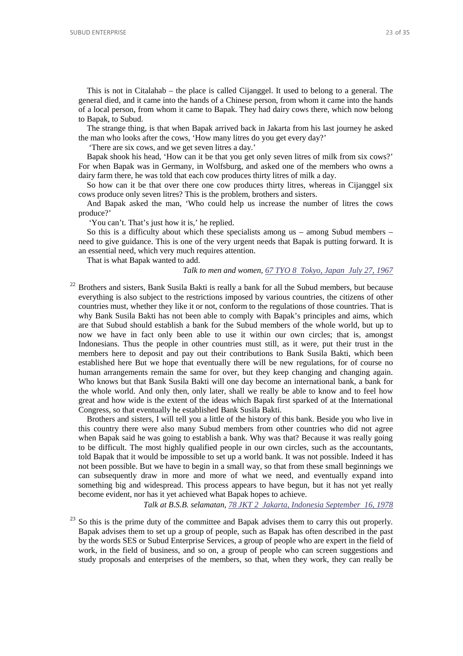This is not in Citalahab – the place is called Cijanggel. It used to belong to a general. The general died, and it came into the hands of a Chinese person, from whom it came into the hands of a local person, from whom it came to Bapak. They had dairy cows there, which now belong to Bapak, to Subud.

<span id="page-22-0"></span>The strange thing, is that when Bapak arrived back in Jakarta from his last journey he asked the man who looks after the cows, 'How many litres do you get every day?'

'There are six cows, and we get seven litres a day.'

Bapak shook his head, 'How can it be that you get only seven litres of milk from six cows?' For when Bapak was in Germany, in Wolfsburg, and asked one of the members who owns a dairy farm there, he was told that each cow produces thirty litres of milk a day.

So how can it be that over there one cow produces thirty litres, whereas in Cijanggel six cows produce only seven litres? This is the problem, brothers and sisters.

And Bapak asked the man, 'Who could help us increase the number of litres the cows produce?'

'You can't. That's just how it is,' he replied.

So this is a difficulty about which these specialists among us – among Subud members – need to give guidance. This is one of the very urgent needs that Bapak is putting forward. It is an essential need, which very much requires attention.

That is what Bapak wanted to add.

#### *Talk to men and women, [67 TYO 8 Tokyo, Japan July 27, 1967](http://www.subudlibrary.net/English%20Library/Bapak_English/BAPAK101.HTM)*

<sup>22</sup> Brothers and sisters, Bank Susila Bakti is really a bank for all the Subud members, but because everything is also subject to the restrictions imposed by various countries, the citizens of other countries must, whether they like it or not, conform to the regulations of those countries. That is why Bank Susila Bakti has not been able to comply with Bapak's principles and aims, which are that Subud should establish a bank for the Subud members of the whole world, but up to now we have in fact only been able to use it within our own circles; that is, amongst Indonesians. Thus the people in other countries must still, as it were, put their trust in the members here to deposit and pay out their contributions to Bank Susila Bakti, which been established here But we hope that eventually there will be new regulations, for of course no human arrangements remain the same for over, but they keep changing and changing again. Who knows but that Bank Susila Bakti will one day become an international bank, a bank for the whole world. And only then, only later, shall we really be able to know and to feel how great and how wide is the extent of the ideas which Bapak first sparked of at the International Congress, so that eventually he established Bank Susila Bakti.

<span id="page-22-1"></span>Brothers and sisters, I will tell you a little of the history of this bank. Beside you who live in this country there were also many Subud members from other countries who did not agree when Bapak said he was going to establish a bank. Why was that? Because it was really going to be difficult. The most highly qualified people in our own circles, such as the accountants, told Bapak that it would be impossible to set up a world bank. It was not possible. Indeed it has not been possible. But we have to begin in a small way, so that from these small beginnings we can subsequently draw in more and more of what we need, and eventually expand into something big and widespread. This process appears to have begun, but it has not yet really become evident, nor has it yet achieved what Bapak hopes to achieve.

*Talk at B.S.B. selamatan[, 78 JKT 2 Jakarta, Indonesia September 16, 1978](http://www.subudlibrary.net/English%20Library/Bapak_English/BAPAK661.HTM)*

<span id="page-22-2"></span><sup>23</sup> So this is the prime duty of the committee and Bapak advises them to carry this out properly. Bapak advises them to set up a group of people, such as Bapak has often described in the past by the words SES or Subud Enterprise Services, a group of people who are expert in the field of work, in the field of business, and so on, a group of people who can screen suggestions and study proposals and enterprises of the members, so that, when they work, they can really be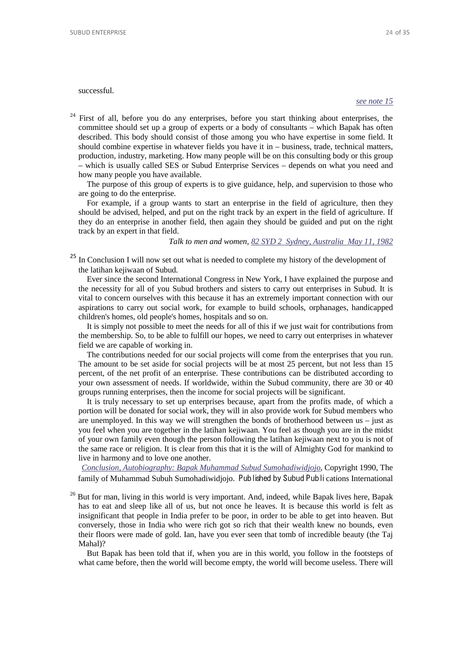## successful.

#### *[see note 15](#page-17-2)*

<sup>24</sup> First of all, before you do any enterprises, before you start thinking about enterprises, the committee should set up a group of experts or a body of consultants – which Bapak has often described. This body should consist of those among you who have expertise in some field. It should combine expertise in whatever fields you have it in – business, trade, technical matters, production, industry, marketing. How many people will be on this consulting body or this group – which is usually called SES or Subud Enterprise Services – depends on what you need and how many people you have available.

The purpose of this group of experts is to give guidance, help, and supervision to those who are going to do the enterprise.

For example, if a group wants to start an enterprise in the field of agriculture, then they should be advised, helped, and put on the right track by an expert in the field of agriculture. If they do an enterprise in another field, then again they should be guided and put on the right track by an expert in that field.

## *Talk to men and women, 82 SYD 2 [Sydney, Australia May 11, 1982](http://www.subudlibrary.net/English%20Library/Bapak_English/BAPAK402.HTM)*

<sup>25</sup> In Conclusion I will now set out what is needed to complete my history of the development of the latihan kejiwaan of Subud.

Ever since the second International Congress in New York, I have explained the purpose and the necessity for all of you Subud brothers and sisters to carry out enterprises in Subud. It is vital to concern ourselves with this because it has an extremely important connection with our aspirations to carry out social work, for example to build schools, orphanages, handicapped children's homes, old people's homes, hospitals and so on.

It is simply not possible to meet the needs for all of this if we just wait for contributions from the membership. So, to be able to fulfill our hopes, we need to carry out enterprises in whatever field we are capable of working in.

The contributions needed for our social projects will come from the enterprises that you run. The amount to be set aside for social projects will be at most 25 percent, but not less than 15 percent, of the net profit of an enterprise. These contributions can be distributed according to your own assessment of needs. If worldwide, within the Subud community, there are 30 or 40 groups running enterprises, then the income for social projects will be significant.

It is truly necessary to set up enterprises because, apart from the profits made, of which a portion will be donated for social work, they will in also provide work for Subud members who are unemployed. In this way we will strengthen the bonds of brotherhood between  $us - just$  as you feel when you are together in the latihan kejiwaan. You feel as though you are in the midst of your own family even though the person following the latihan kejiwaan next to you is not of the same race or religion. It is clear from this that it is the will of Almighty God for mankind to live in harmony and to love one another.

*[Conclusion, Autobiography: Bapak Muhammad Subud Sumohadiwidjojo](http://www.subudlibrary.net/English%20Library/BAPAKBIO.HTM#In Conclusion)*, Copyright 1990, The family of Muhammad Subuh Sumohadiwidjojo. Published by Subud Publications International

<span id="page-23-0"></span><sup>26</sup> But for man, living in this world is very important. And, indeed, while Bapak lives here, Bapak has to eat and sleep like all of us, but not once he leaves. It is because this world is felt as insignificant that people in India prefer to be poor, in order to be able to get into heaven. But conversely, those in India who were rich got so rich that their wealth knew no bounds, even their floors were made of gold. Ian, have you ever seen that tomb of incredible beauty (the Taj Mahal)?

<span id="page-23-1"></span>But Bapak has been told that if, when you are in this world, you follow in the footsteps of what came before, then the world will become empty, the world will become useless. There will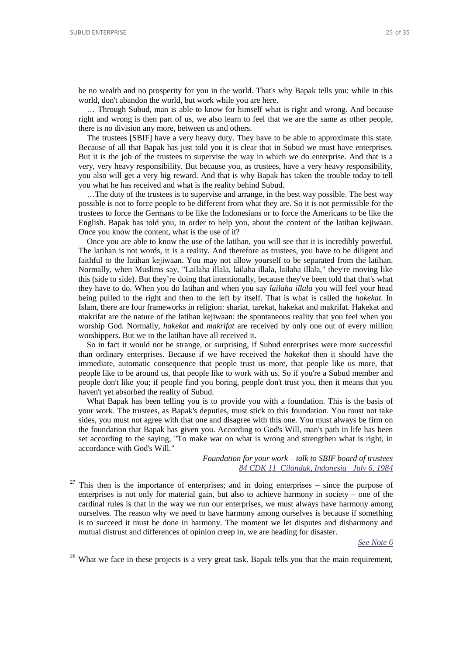be no wealth and no prosperity for you in the world. That's why Bapak tells you: while in this world, don't abandon the world, but work while you are here.

… Through Subud, man is able to know for himself what is right and wrong. And because right and wrong is then part of us, we also learn to feel that we are the same as other people, there is no division any more, between us and others.

<span id="page-24-0"></span>The trustees [SBIF] have a very heavy duty. They have to be able to approximate this state. Because of all that Bapak has just told you it is clear that in Subud we must have enterprises. But it is the job of the trustees to supervise the way in which we do enterprise. And that is a very, very heavy responsibility. But because you, as trustees, have a very heavy responsibility, you also will get a very big reward. And that is why Bapak has taken the trouble today to tell you what he has received and what is the reality behind Subud.

…The duty of the trustees is to supervise and arrange, in the best way possible. The best way possible is not to force people to be different from what they are. So it is not permissible for the trustees to force the Germans to be like the Indonesians or to force the Americans to be like the English. Bapak has told you, in order to help you, about the content of the latihan kejiwaan. Once you know the content, what is the use of it?

Once you are able to know the use of the latihan, you will see that it is incredibly powerful. The latihan is not words, it is a reality. And therefore as trustees, you have to be diligent and faithful to the latihan kejiwaan. You may not allow yourself to be separated from the latihan. Normally, when Muslims say, "Lailaha illala, lailaha illala, lailaha illala," they're moving like this (side to side). But they're doing that intentionally, because they've been told that that's what they have to do. When you do latihan and when you say *lailaha illala* you will feel your head being pulled to the right and then to the left by itself. That is what is called the *hakekat*. In Islam, there are four frameworks in religion: shariat, tarekat, hakekat and makrifat. Hakekat and makrifat are the nature of the latihan kejiwaan: the spontaneous reality that you feel when you worship God. Normally, *hakekat* and *makrifat* are received by only one out of every million worshippers. But we in the latihan have all received it.

So in fact it would not be strange, or surprising, if Subud enterprises were more successful than ordinary enterprises. Because if we have received the *hakekat* then it should have the immediate, automatic consequence that people trust us more, that people like us more, that people like to be around us, that people like to work with us. So if you're a Subud member and people don't like you; if people find you boring, people don't trust you, then it means that you haven't yet absorbed the reality of Subud.

What Bapak has been telling you is to provide you with a foundation. This is the basis of your work. The trustees, as Bapak's deputies, must stick to this foundation. You must not take sides, you must not agree with that one and disagree with this one. You must always be firm on the foundation that Bapak has given you. According to God's Will, man's path in life has been set according to the saying, "To make war on what is wrong and strengthen what is right, in accordance with God's Will."

> *Foundation for your work – talk to SBIF board of trustees [84 CDK 11 Cilandak, Indonesia July 6, 1984](http://www.subudlibrary.net/English%20Library/Bapak_English/BAPAK80.HTM)*

<span id="page-24-1"></span><sup>27</sup> This then is the importance of enterprises; and in doing enterprises – since the purpose of enterprises is not only for material gain, but also to achieve harmony in society – one of the cardinal rules is that in the way we run our enterprises, we must always have harmony among ourselves. The reason why we need to have harmony among ourselves is because if something is to succeed it must be done in harmony. The moment we let disputes and disharmony and mutual distrust and differences of opinion creep in, we are heading for disaster.

*[See Note 6](#page-13-5)*

<sup>28</sup> What we face in these projects is a very great task. Bapak tells you that the main requirement,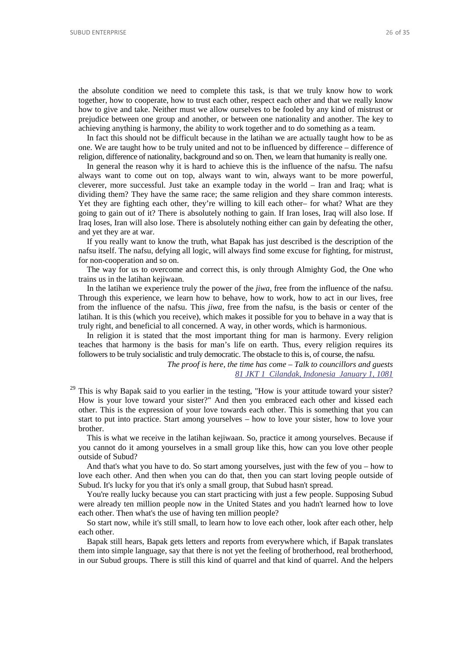<span id="page-25-0"></span>the absolute condition we need to complete this task, is that we truly know how to work together, how to cooperate, how to trust each other, respect each other and that we really know how to give and take. Neither must we allow ourselves to be fooled by any kind of mistrust or prejudice between one group and another, or between one nationality and another. The key to achieving anything is harmony, the ability to work together and to do something as a team.

In fact this should not be difficult because in the latihan we are actually taught how to be as one. We are taught how to be truly united and not to be influenced by difference – difference of religion, difference of nationality, background and so on. Then, we learn that humanity is really one.

In general the reason why it is hard to achieve this is the influence of the nafsu. The nafsu always want to come out on top, always want to win, always want to be more powerful, cleverer, more successful. Just take an example today in the world – Iran and Iraq; what is dividing them? They have the same race; the same religion and they share common interests. Yet they are fighting each other, they're willing to kill each other– for what? What are they going to gain out of it? There is absolutely nothing to gain. If Iran loses, Iraq will also lose. If Iraq loses, Iran will also lose. There is absolutely nothing either can gain by defeating the other, and yet they are at war.

If you really want to know the truth, what Bapak has just described is the description of the nafsu itself. The nafsu, defying all logic, will always find some excuse for fighting, for mistrust, for non-cooperation and so on.

The way for us to overcome and correct this, is only through Almighty God, the One who trains us in the latihan kejiwaan.

In the latihan we experience truly the power of the *jiwa*, free from the influence of the nafsu. Through this experience, we learn how to behave, how to work, how to act in our lives, free from the influence of the nafsu. This *jiwa*, free from the nafsu, is the basis or center of the latihan. It is this (which you receive), which makes it possible for you to behave in a way that is truly right, and beneficial to all concerned. A way, in other words, which is harmonious.

In religion it is stated that the most important thing for man is harmony. Every religion teaches that harmony is the basis for man's life on earth. Thus, every religion requires its followers to be truly socialistic and truly democratic. The obstacle to this is, of course, the nafsu.

> *The proof is here, the time has come – Talk to councillors and guests [81 JKT 1 Cilandak, Indonesia January 1, 1081](http://www.subudlibrary.net/English%20Library/Bapak_English/BAPAK443.HTM)*

<sup>29</sup> This is why Bapak said to you earlier in the testing, "How is your attitude toward your sister? How is your love toward your sister?" And then you embraced each other and kissed each other. This is the expression of your love towards each other. This is something that you can start to put into practice. Start among yourselves – how to love your sister, how to love your brother.

This is what we receive in the latihan kejiwaan. So, practice it among yourselves. Because if you cannot do it among yourselves in a small group like this, how can you love other people outside of Subud?

And that's what you have to do. So start among yourselves, just with the few of you – how to love each other. And then when you can do that, then you can start loving people outside of Subud. It's lucky for you that it's only a small group, that Subud hasn't spread.

You're really lucky because you can start practicing with just a few people. Supposing Subud were already ten million people now in the United States and you hadn't learned how to love each other. Then what's the use of having ten million people?

So start now, while it's still small, to learn how to love each other, look after each other, help each other.

Bapak still hears, Bapak gets letters and reports from everywhere which, if Bapak translates them into simple language, say that there is not yet the feeling of brotherhood, real brotherhood, in our Subud groups. There is still this kind of quarrel and that kind of quarrel. And the helpers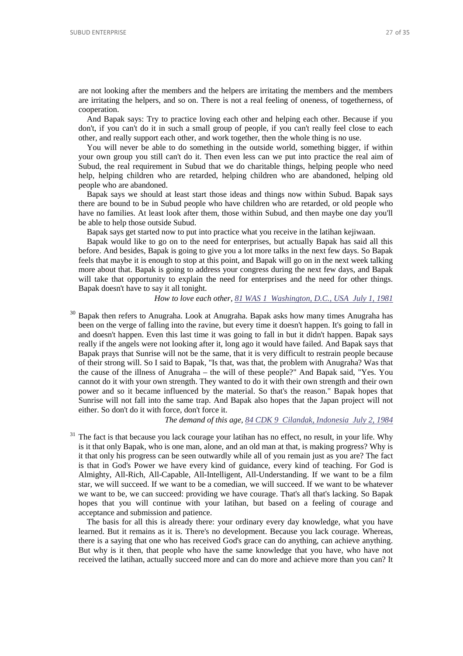are not looking after the members and the helpers are irritating the members and the members are irritating the helpers, and so on. There is not a real feeling of oneness, of togetherness, of cooperation.

And Bapak says: Try to practice loving each other and helping each other. Because if you don't, if you can't do it in such a small group of people, if you can't really feel close to each other, and really support each other, and work together, then the whole thing is no use.

You will never be able to do something in the outside world, something bigger, if within your own group you still can't do it. Then even less can we put into practice the real aim of Subud, the real requirement in Subud that we do charitable things, helping people who need help, helping children who are retarded, helping children who are abandoned, helping old people who are abandoned.

Bapak says we should at least start those ideas and things now within Subud. Bapak says there are bound to be in Subud people who have children who are retarded, or old people who have no families. At least look after them, those within Subud, and then maybe one day you'll be able to help those outside Subud.

Bapak says get started now to put into practice what you receive in the latihan kejiwaan.

Bapak would like to go on to the need for enterprises, but actually Bapak has said all this before. And besides, Bapak is going to give you a lot more talks in the next few days. So Bapak feels that maybe it is enough to stop at this point, and Bapak will go on in the next week talking more about that. Bapak is going to address your congress during the next few days, and Bapak will take that opportunity to explain the need for enterprises and the need for other things. Bapak doesn't have to say it all tonight.

## *How to love each other[, 81 WAS 1 Washington, D.C., USA July 1, 1981](http://www.subudlibrary.net/English%20Library/Bapak_English/BAPAK283.HTM)*

 $30$  Bapak then refers to Anugraha. Look at Anugraha. Bapak asks how many times Anugraha has been on the verge of falling into the ravine, but every time it doesn't happen. It's going to fall in and doesn't happen. Even this last time it was going to fall in but it didn't happen. Bapak says really if the angels were not looking after it, long ago it would have failed. And Bapak says that Bapak prays that Sunrise will not be the same, that it is very difficult to restrain people because of their strong will. So I said to Bapak, "Is that, was that, the problem with Anugraha? Was that the cause of the illness of Anugraha – the will of these people?" And Bapak said, "Yes. You cannot do it with your own strength. They wanted to do it with their own strength and their own power and so it became influenced by the material. So that's the reason." Bapak hopes that Sunrise will not fall into the same trap. And Bapak also hopes that the Japan project will not either. So don't do it with force, don't force it.

#### *The demand of this age, [84 CDK 9 Cilandak, Indonesia July 2, 1984](http://www.subudlibrary.net/English%20Library/Bapak_English/BAPAK550.HTM)*

The fact is that because you lack courage your latihan has no effect, no result, in your life. Why is it that only Bapak, who is one man, alone, and an old man at that, is making progress? Why is it that only his progress can be seen outwardly while all of you remain just as you are? The fact is that in God's Power we have every kind of guidance, every kind of teaching. For God is Almighty, All-Rich, All-Capable, All-Intelligent, All-Understanding. If we want to be a film star, we will succeed. If we want to be a comedian, we will succeed. If we want to be whatever we want to be, we can succeed: providing we have courage. That's all that's lacking. So Bapak hopes that you will continue with your latihan, but based on a feeling of courage and acceptance and submission and patience.

The basis for all this is already there: your ordinary every day knowledge, what you have learned. But it remains as it is. There's no development. Because you lack courage. Whereas, there is a saying that one who has received God's grace can do anything, can achieve anything. But why is it then, that people who have the same knowledge that you have, who have not received the latihan, actually succeed more and can do more and achieve more than you can? It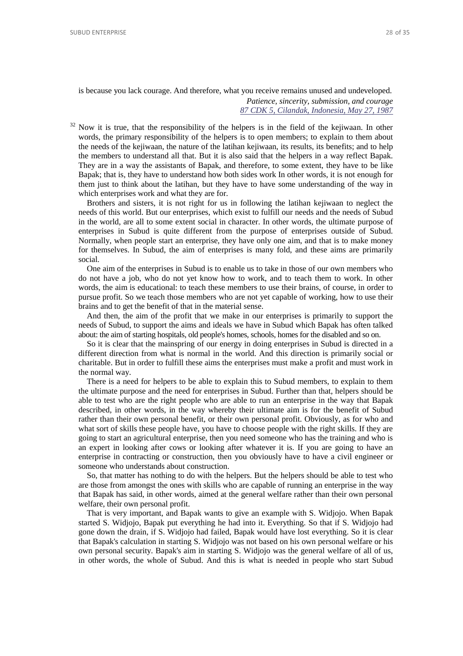is because you lack courage. And therefore, what you receive remains unused and undeveloped. *Patience, sincerity, submission, and courage*

*[87 CDK 5, Cilandak, Indonesia, May 27, 1987](http://www.subudlibrary.net/English%20Library/Bapak_English/BAPAK53.HTM)*

 $32$  Now it is true, that the responsibility of the helpers is in the field of the kejiwaan. In other words, the primary responsibility of the helpers is to open members; to explain to them about the needs of the kejiwaan, the nature of the latihan kejiwaan, its results, its benefits; and to help the members to understand all that. But it is also said that the helpers in a way reflect Bapak. They are in a way the assistants of Bapak, and therefore, to some extent, they have to be like Bapak; that is, they have to understand how both sides work In other words, it is not enough for them just to think about the latihan, but they have to have some understanding of the way in which enterprises work and what they are for.

Brothers and sisters, it is not right for us in following the latihan kejiwaan to neglect the needs of this world. But our enterprises, which exist to fulfill our needs and the needs of Subud in the world, are all to some extent social in character. In other words, the ultimate purpose of enterprises in Subud is quite different from the purpose of enterprises outside of Subud. Normally, when people start an enterprise, they have only one aim, and that is to make money for themselves. In Subud, the aim of enterprises is many fold, and these aims are primarily social.

One aim of the enterprises in Subud is to enable us to take in those of our own members who do not have a job, who do not yet know how to work, and to teach them to work. In other words, the aim is educational: to teach these members to use their brains, of course, in order to pursue profit. So we teach those members who are not yet capable of working, how to use their brains and to get the benefit of that in the material sense.

And then, the aim of the profit that we make in our enterprises is primarily to support the needs of Subud, to support the aims and ideals we have in Subud which Bapak has often talked about: the aim of starting hospitals, old people's homes, schools, homes for the disabled and so on.

So it is clear that the mainspring of our energy in doing enterprises in Subud is directed in a different direction from what is normal in the world. And this direction is primarily social or charitable. But in order to fulfill these aims the enterprises must make a profit and must work in the normal way.

There is a need for helpers to be able to explain this to Subud members, to explain to them the ultimate purpose and the need for enterprises in Subud. Further than that, helpers should be able to test who are the right people who are able to run an enterprise in the way that Bapak described, in other words, in the way whereby their ultimate aim is for the benefit of Subud rather than their own personal benefit, or their own personal profit. Obviously, as for who and what sort of skills these people have, you have to choose people with the right skills. If they are going to start an agricultural enterprise, then you need someone who has the training and who is an expert in looking after cows or looking after whatever it is. If you are going to have an enterprise in contracting or construction, then you obviously have to have a civil engineer or someone who understands about construction.

So, that matter has nothing to do with the helpers. But the helpers should be able to test who are those from amongst the ones with skills who are capable of running an enterprise in the way that Bapak has said, in other words, aimed at the general welfare rather than their own personal welfare, their own personal profit.

That is very important, and Bapak wants to give an example with S. Widjojo. When Bapak started S. Widjojo, Bapak put everything he had into it. Everything. So that if S. Widjojo had gone down the drain, if S. Widjojo had failed, Bapak would have lost everything. So it is clear that Bapak's calculation in starting S. Widjojo was not based on his own personal welfare or his own personal security. Bapak's aim in starting S. Widjojo was the general welfare of all of us, in other words, the whole of Subud. And this is what is needed in people who start Subud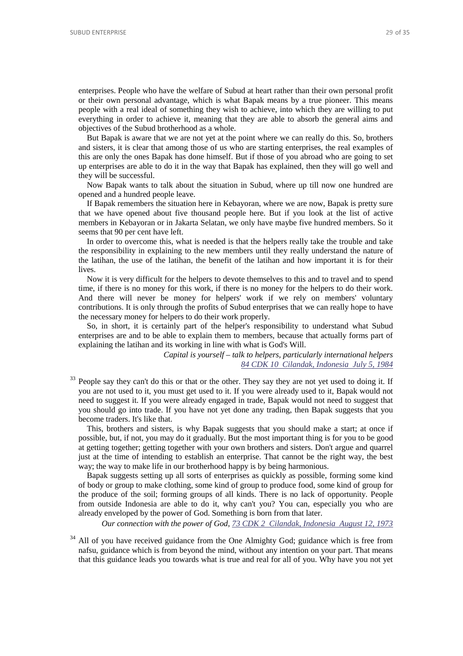enterprises. People who have the welfare of Subud at heart rather than their own personal profit or their own personal advantage, which is what Bapak means by a true pioneer. This means people with a real ideal of something they wish to achieve, into which they are willing to put everything in order to achieve it, meaning that they are able to absorb the general aims and objectives of the Subud brotherhood as a whole.

But Bapak is aware that we are not yet at the point where we can really do this. So, brothers and sisters, it is clear that among those of us who are starting enterprises, the real examples of this are only the ones Bapak has done himself. But if those of you abroad who are going to set up enterprises are able to do it in the way that Bapak has explained, then they will go well and they will be successful.

Now Bapak wants to talk about the situation in Subud, where up till now one hundred are opened and a hundred people leave.

If Bapak remembers the situation here in Kebayoran, where we are now, Bapak is pretty sure that we have opened about five thousand people here. But if you look at the list of active members in Kebayoran or in Jakarta Selatan, we only have maybe five hundred members. So it seems that 90 per cent have left.

In order to overcome this, what is needed is that the helpers really take the trouble and take the responsibility in explaining to the new members until they really understand the nature of the latihan, the use of the latihan, the benefit of the latihan and how important it is for their lives.

Now it is very difficult for the helpers to devote themselves to this and to travel and to spend time, if there is no money for this work, if there is no money for the helpers to do their work. And there will never be money for helpers' work if we rely on members' voluntary contributions. It is only through the profits of Subud enterprises that we can really hope to have the necessary money for helpers to do their work properly.

So, in short, it is certainly part of the helper's responsibility to understand what Subud enterprises are and to be able to explain them to members, because that actually forms part of explaining the latihan and its working in line with what is God's Will.

> *Capital is yourself – talk to helpers, particularly international helpers [84 CDK 10 Cilandak, Indonesia July 5, 1984](http://www.subudlibrary.net/English%20Library/Bapak_English/BAPAK79.HTM)*

People say they can't do this or that or the other. They say they are not yet used to doing it. If you are not used to it, you must get used to it. If you were already used to it, Bapak would not need to suggest it. If you were already engaged in trade, Bapak would not need to suggest that you should go into trade. If you have not yet done any trading, then Bapak suggests that you become traders. It's like that.

This, brothers and sisters, is why Bapak suggests that you should make a start; at once if possible, but, if not, you may do it gradually. But the most important thing is for you to be good at getting together; getting together with your own brothers and sisters. Don't argue and quarrel just at the time of intending to establish an enterprise. That cannot be the right way, the best way; the way to make life in our brotherhood happy is by being harmonious.

Bapak suggests setting up all sorts of enterprises as quickly as possible, forming some kind of body or group to make clothing, some kind of group to produce food, some kind of group for the produce of the soil; forming groups of all kinds. There is no lack of opportunity. People from outside Indonesia are able to do it, why can't you? You can, especially you who are already enveloped by the power of God. Something is born from that later.

*Our connection with the power of God, [73 CDK 2 Cilandak, Indonesia August 12, 1973](http://www.subudlibrary.net/English%20Library/Bapak_English/BAPAK32.HTM)*

 $34$  All of you have received guidance from the One Almighty God; guidance which is free from nafsu, guidance which is from beyond the mind, without any intention on your part. That means that this guidance leads you towards what is true and real for all of you. Why have you not yet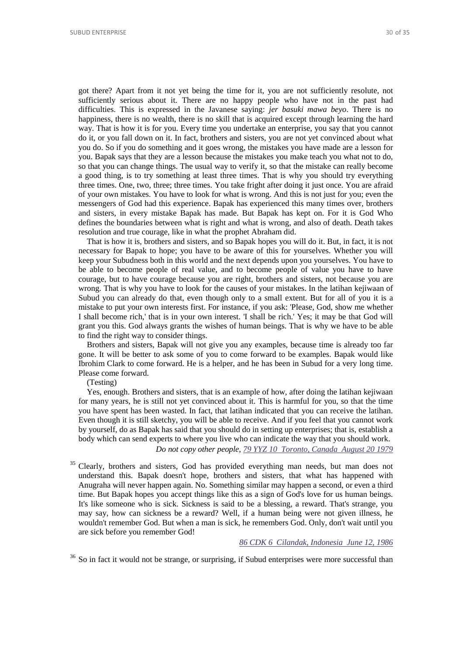got there? Apart from it not yet being the time for it, you are not sufficiently resolute, not sufficiently serious about it. There are no happy people who have not in the past had difficulties. This is expressed in the Javanese saying: *jer basuki mawa beyo*. There is no happiness, there is no wealth, there is no skill that is acquired except through learning the hard way. That is how it is for you. Every time you undertake an enterprise, you say that you cannot do it, or you fall down on it. In fact, brothers and sisters, you are not yet convinced about what you do. So if you do something and it goes wrong, the mistakes you have made are a lesson for you. Bapak says that they are a lesson because the mistakes you make teach you what not to do, so that you can change things. The usual way to verify it, so that the mistake can really become a good thing, is to try something at least three times. That is why you should try everything three times. One, two, three; three times. You take fright after doing it just once. You are afraid of your own mistakes. You have to look for what is wrong. And this is not just for you; even the messengers of God had this experience. Bapak has experienced this many times over, brothers and sisters, in every mistake Bapak has made. But Bapak has kept on. For it is God Who defines the boundaries between what is right and what is wrong, and also of death. Death takes resolution and true courage, like in what the prophet Abraham did.

That is how it is, brothers and sisters, and so Bapak hopes you will do it. But, in fact, it is not necessary for Bapak to hope; you have to be aware of this for yourselves. Whether you will keep your Subudness both in this world and the next depends upon you yourselves. You have to be able to become people of real value, and to become people of value you have to have courage, but to have courage because you are right, brothers and sisters, not because you are wrong. That is why you have to look for the causes of your mistakes. In the latihan kejiwaan of Subud you can already do that, even though only to a small extent. But for all of you it is a mistake to put your own interests first. For instance, if you ask: 'Please, God, show me whether I shall become rich,' that is in your own interest. 'I shall be rich.' Yes; it may be that God will grant you this. God always grants the wishes of human beings. That is why we have to be able to find the right way to consider things.

Brothers and sisters, Bapak will not give you any examples, because time is already too far gone. It will be better to ask some of you to come forward to be examples. Bapak would like Ibrohim Clark to come forward. He is a helper, and he has been in Subud for a very long time. Please come forward.

#### (Testing)

Yes, enough. Brothers and sisters, that is an example of how, after doing the latihan kejiwaan for many years, he is still not yet convinced about it. This is harmful for you, so that the time you have spent has been wasted. In fact, that latihan indicated that you can receive the latihan. Even though it is still sketchy, you will be able to receive. And if you feel that you cannot work by yourself, do as Bapak has said that you should do in setting up enterprises; that is, establish a body which can send experts to where you live who can indicate the way that you should work. *Do not copy other people, [79 YYZ 10 Toronto, Canada August 20 1979](http://www.subudlibrary.net/English%20Library/Bapak_English/BAPAK257.HTM)*

<sup>35</sup> Clearly, brothers and sisters, God has provided everything man needs, but man does not understand this. Bapak doesn't hope, brothers and sisters, that what has happened with Anugraha will never happen again. No. Something similar may happen a second, or even a third time. But Bapak hopes you accept things like this as a sign of God's love for us human beings. It's like someone who is sick. Sickness is said to be a blessing, a reward. That's strange, you may say, how can sickness be a reward? Well, if a human being were not given illness, he wouldn't remember God. But when a man is sick, he remembers God. Only, don't wait until you are sick before you remember God!

## *[86 CDK 6 Cilandak, Indonesia June 12, 1986](http://www.subudlibrary.net/English%20Library/Bapak_English/BAPAK419.HTM)*

 $36$  So in fact it would not be strange, or surprising, if Subud enterprises were more successful than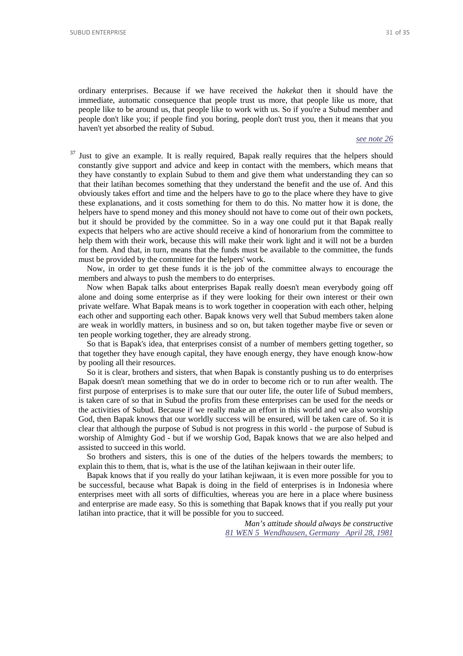ordinary enterprises. Because if we have received the *hakekat* then it should have the immediate, automatic consequence that people trust us more, that people like us more, that people like to be around us, that people like to work with us. So if you're a Subud member and people don't like you; if people find you boring, people don't trust you, then it means that you haven't yet absorbed the reality of Subud.

#### *[see note 26](#page-24-1)*

 $37$  Just to give an example. It is really required, Bapak really requires that the helpers should constantly give support and advice and keep in contact with the members, which means that they have constantly to explain Subud to them and give them what understanding they can so that their latihan becomes something that they understand the benefit and the use of. And this obviously takes effort and time and the helpers have to go to the place where they have to give these explanations, and it costs something for them to do this. No matter how it is done, the helpers have to spend money and this money should not have to come out of their own pockets, but it should be provided by the committee. So in a way one could put it that Bapak really expects that helpers who are active should receive a kind of honorarium from the committee to help them with their work, because this will make their work light and it will not be a burden for them. And that, in turn, means that the funds must be available to the committee, the funds must be provided by the committee for the helpers' work.

Now, in order to get these funds it is the job of the committee always to encourage the members and always to push the members to do enterprises.

Now when Bapak talks about enterprises Bapak really doesn't mean everybody going off alone and doing some enterprise as if they were looking for their own interest or their own private welfare. What Bapak means is to work together in cooperation with each other, helping each other and supporting each other. Bapak knows very well that Subud members taken alone are weak in worldly matters, in business and so on, but taken together maybe five or seven or ten people working together, they are already strong.

So that is Bapak's idea, that enterprises consist of a number of members getting together, so that together they have enough capital, they have enough energy, they have enough know-how by pooling all their resources.

So it is clear, brothers and sisters, that when Bapak is constantly pushing us to do enterprises Bapak doesn't mean something that we do in order to become rich or to run after wealth. The first purpose of enterprises is to make sure that our outer life, the outer life of Subud members, is taken care of so that in Subud the profits from these enterprises can be used for the needs or the activities of Subud. Because if we really make an effort in this world and we also worship God, then Bapak knows that our worldly success will be ensured, will be taken care of. So it is clear that although the purpose of Subud is not progress in this world - the purpose of Subud is worship of Almighty God - but if we worship God, Bapak knows that we are also helped and assisted to succeed in this world.

So brothers and sisters, this is one of the duties of the helpers towards the members; to explain this to them, that is, what is the use of the latihan kejiwaan in their outer life.

Bapak knows that if you really do your latihan kejiwaan, it is even more possible for you to be successful, because what Bapak is doing in the field of enterprises is in Indonesia where enterprises meet with all sorts of difficulties, whereas you are here in a place where business and enterprise are made easy. So this is something that Bapak knows that if you really put your latihan into practice, that it will be possible for you to succeed.

> *Man's attitude should always be constructive [81 WEN 5 Wendhausen, Germany April 28, 1981](http://www.subudlibrary.net/English%20Library/Bapak_English/BAPAK55.HTM)*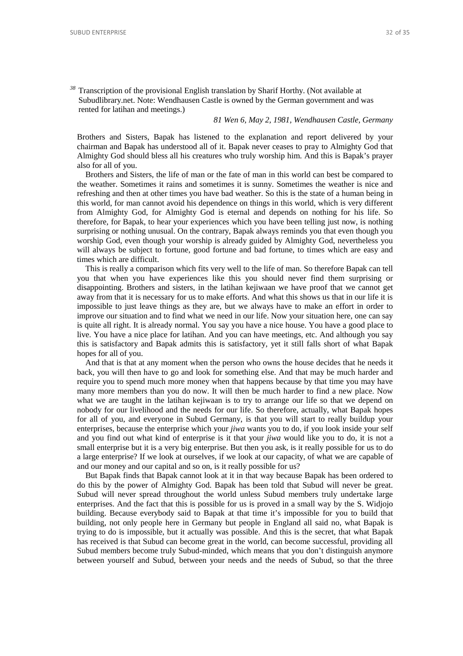*<sup>38</sup>* Transcription of the provisional English translation by Sharif Horthy. (Not available at Subudlibrary.net. Note: Wendhausen Castle is owned by the German government and was rented for latihan and meetings.)

*81 Wen 6, May 2, 1981, Wendhausen Castle, Germany* 

Brothers and Sisters, Bapak has listened to the explanation and report delivered by your chairman and Bapak has understood all of it. Bapak never ceases to pray to Almighty God that Almighty God should bless all his creatures who truly worship him. And this is Bapak's prayer also for all of you.

Brothers and Sisters, the life of man or the fate of man in this world can best be compared to the weather. Sometimes it rains and sometimes it is sunny. Sometimes the weather is nice and refreshing and then at other times you have bad weather. So this is the state of a human being in this world, for man cannot avoid his dependence on things in this world, which is very different from Almighty God, for Almighty God is eternal and depends on nothing for his life. So therefore, for Bapak, to hear your experiences which you have been telling just now, is nothing surprising or nothing unusual. On the contrary, Bapak always reminds you that even though you worship God, even though your worship is already guided by Almighty God, nevertheless you will always be subject to fortune, good fortune and bad fortune, to times which are easy and times which are difficult.

This is really a comparison which fits very well to the life of man. So therefore Bapak can tell you that when you have experiences like this you should never find them surprising or disappointing. Brothers and sisters, in the latihan kejiwaan we have proof that we cannot get away from that it is necessary for us to make efforts. And what this shows us that in our life it is impossible to just leave things as they are, but we always have to make an effort in order to improve our situation and to find what we need in our life. Now your situation here, one can say is quite all right. It is already normal. You say you have a nice house. You have a good place to live. You have a nice place for latihan. And you can have meetings, etc. And although you say this is satisfactory and Bapak admits this is satisfactory, yet it still falls short of what Bapak hopes for all of you.

And that is that at any moment when the person who owns the house decides that he needs it back, you will then have to go and look for something else. And that may be much harder and require you to spend much more money when that happens because by that time you may have many more members than you do now. It will then be much harder to find a new place. Now what we are taught in the latihan kejiwaan is to try to arrange our life so that we depend on nobody for our livelihood and the needs for our life. So therefore, actually, what Bapak hopes for all of you, and everyone in Subud Germany, is that you will start to really buildup your enterprises, because the enterprise which your *jiwa* wants you to do, if you look inside your self and you find out what kind of enterprise is it that your *jiwa* would like you to do, it is not a small enterprise but it is a very big enterprise. But then you ask, is it really possible for us to do a large enterprise? If we look at ourselves, if we look at our capacity, of what we are capable of and our money and our capital and so on, is it really possible for us?

But Bapak finds that Bapak cannot look at it in that way because Bapak has been ordered to do this by the power of Almighty God. Bapak has been told that Subud will never be great. Subud will never spread throughout the world unless Subud members truly undertake large enterprises. And the fact that this is possible for us is proved in a small way by the S. Widjojo building. Because everybody said to Bapak at that time it's impossible for you to build that building, not only people here in Germany but people in England all said no, what Bapak is trying to do is impossible, but it actually was possible. And this is the secret, that what Bapak has received is that Subud can become great in the world, can become successful, providing all Subud members become truly Subud-minded, which means that you don't distinguish anymore between yourself and Subud, between your needs and the needs of Subud, so that the three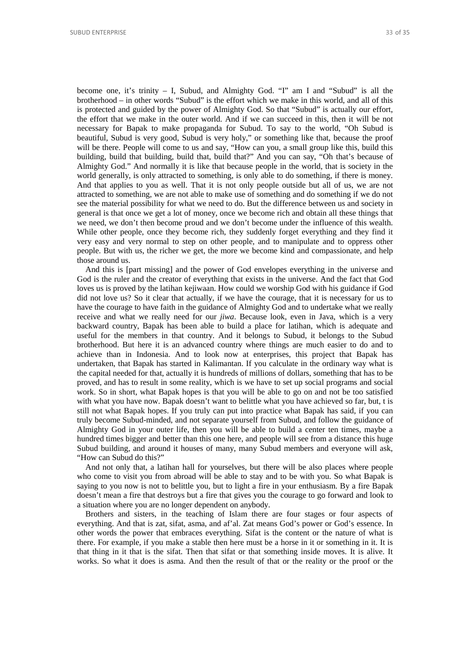become one, it's trinity – I, Subud, and Almighty God. "I" am I and "Subud" is all the brotherhood – in other words "Subud" is the effort which we make in this world, and all of this is protected and guided by the power of Almighty God. So that "Subud" is actually our effort, the effort that we make in the outer world. And if we can succeed in this, then it will be not necessary for Bapak to make propaganda for Subud. To say to the world, "Oh Subud is beautiful, Subud is very good, Subud is very holy," or something like that, because the proof will be there. People will come to us and say, "How can you, a small group like this, build this building, build that building, build that, build that?" And you can say, "Oh that's because of Almighty God." And normally it is like that because people in the world, that is society in the world generally, is only attracted to something, is only able to do something, if there is money. And that applies to you as well. That it is not only people outside but all of us, we are not attracted to something, we are not able to make use of something and do something if we do not see the material possibility for what we need to do. But the difference between us and society in general is that once we get a lot of money, once we become rich and obtain all these things that we need, we don't then become proud and we don't become under the influence of this wealth. While other people, once they become rich, they suddenly forget everything and they find it very easy and very normal to step on other people, and to manipulate and to oppress other people. But with us, the richer we get, the more we become kind and compassionate, and help those around us.

And this is [part missing] and the power of God envelopes everything in the universe and God is the ruler and the creator of everything that exists in the universe. And the fact that God loves us is proved by the latihan kejiwaan. How could we worship God with his guidance if God did not love us? So it clear that actually, if we have the courage, that it is necessary for us to have the courage to have faith in the guidance of Almighty God and to undertake what we really receive and what we really need for our *jiwa*. Because look, even in Java, which is a very backward country, Bapak has been able to build a place for latihan, which is adequate and useful for the members in that country. And it belongs to Subud, it belongs to the Subud brotherhood. But here it is an advanced country where things are much easier to do and to achieve than in Indonesia. And to look now at enterprises, this project that Bapak has undertaken, that Bapak has started in Kalimantan. If you calculate in the ordinary way what is the capital needed for that, actually it is hundreds of millions of dollars, something that has to be proved, and has to result in some reality, which is we have to set up social programs and social work. So in short, what Bapak hopes is that you will be able to go on and not be too satisfied with what you have now. Bapak doesn't want to belittle what you have achieved so far, but, t is still not what Bapak hopes. If you truly can put into practice what Bapak has said, if you can truly become Subud-minded, and not separate yourself from Subud, and follow the guidance of Almighty God in your outer life, then you will be able to build a center ten times, maybe a hundred times bigger and better than this one here, and people will see from a distance this huge Subud building, and around it houses of many, many Subud members and everyone will ask, "How can Subud do this?"

And not only that, a latihan hall for yourselves, but there will be also places where people who come to visit you from abroad will be able to stay and to be with you. So what Bapak is saying to you now is not to belittle you, but to light a fire in your enthusiasm. By a fire Bapak doesn't mean a fire that destroys but a fire that gives you the courage to go forward and look to a situation where you are no longer dependent on anybody.

Brothers and sisters, in the teaching of Islam there are four stages or four aspects of everything. And that is zat, sifat, asma, and af'al. Zat means God's power or God's essence. In other words the power that embraces everything. Sifat is the content or the nature of what is there. For example, if you make a stable then here must be a horse in it or something in it. It is that thing in it that is the sifat. Then that sifat or that something inside moves. It is alive. It works. So what it does is asma. And then the result of that or the reality or the proof or the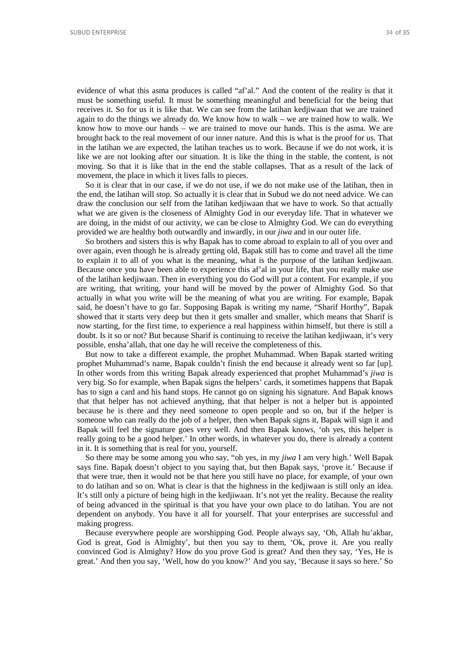evidence of what this asma produces is called "af'al." And the content of the reality is that it must be something useful. It must be something meaningful and beneficial for the being that receives it. So for us it is like that. We can see from the latihan kedjiwaan that we are trained again to do the things we already do. We know how to walk – we are trained how to walk. We know how to move our hands – we are trained to move our hands. This is the asma. We are brought back to the real movement of our inner nature. And this is what is the proof for us. That in the latihan we are expected, the latihan teaches us to work. Because if we do not work, it is like we are not looking after our situation. It is like the thing in the stable, the content, is not moving. So that it is like that in the end the stable collapses. That as a result of the lack of movement, the place in which it lives falls to pieces.

So it is clear that in our case, if we do not use, if we do not make use of the latihan, then in the end, the latihan will stop. So actually it is clear that in Subud we do not need advice. We can draw the conclusion our self from the latihan kedjiwaan that we have to work. So that actually what we are given is the closeness of Almighty God in our everyday life. That in whatever we are doing, in the midst of our activity, we can be close to Almighty God. We can do everything provided we are healthy both outwardly and inwardly, in our *jiwa* and in our outer life.

So brothers and sisters this is why Bapak has to come abroad to explain to all of you over and over again, even though he is already getting old, Bapak still has to come and travel all the time to explain it to all of you what is the meaning, what is the purpose of the latihan kedjiwaan. Because once you have been able to experience this af'al in your life, that you really make use of the latihan kedjiwaan. Then in everything you do God will put a content. For example, if you are writing, that writing, your hand will be moved by the power of Almighty God. So that actually in what you write will be the meaning of what you are writing. For example, Bapak said, he doesn't have to go far. Supposing Bapak is writing my name, "Sharif Horthy", Bapak showed that it starts very deep but then it gets smaller and smaller, which means that Sharif is now starting, for the first time, to experience a real happiness within himself, but there is still a doubt. Is it so or not? But because Sharif is continuing to receive the latihan kedjiwaan, it's very possible, ensha'allah, that one day he will receive the completeness of this.

But now to take a different example, the prophet Muhammad. When Bapak started writing prophet Muhammad's name, Bapak couldn't finish the end because it already went so far [up]. In other words from this writing Bapak already experienced that prophet Muhammad's *jiwa* is very big. So for example, when Bapak signs the helpers' cards, it sometimes happens that Bapak has to sign a card and his hand stops. He cannot go on signing his signature. And Bapak knows that that helper has not achieved anything, that that helper is not a helper but is appointed because he is there and they need someone to open people and so on, but if the helper is someone who can really do the job of a helper, then when Bapak signs it, Bapak will sign it and Bapak will feel the signature goes very well. And then Bapak knows, 'oh yes, this helper is really going to be a good helper.' In other words, in whatever you do, there is already a content in it. It is something that is real for you, yourself.

So there may be some among you who say, "oh yes, in my *jiwa* I am very high.' Well Bapak says fine. Bapak doesn't object to you saying that, but then Bapak says, 'prove it.' Because if that were true, then it would not be that here you still have no place, for example, of your own to do latihan and so on. What is clear is that the highness in the kedjiwaan is still only an idea. It's still only a picture of being high in the kedjiwaan. It's not yet the reality. Because the reality of being advanced in the spiritual is that you have your own place to do latihan. You are not dependent on anybody. You have it all for yourself. That your enterprises are successful and making progress.

Because everywhere people are worshipping God. People always say, 'Oh, Allah hu'akbar, God is great, God is Almighty', but then you say to them, 'Ok, prove it. Are you really convinced God is Almighty? How do you prove God is great? And then they say, 'Yes, He is great.' And then you say, 'Well, how do you know?' And you say, 'Because it says so here.' So